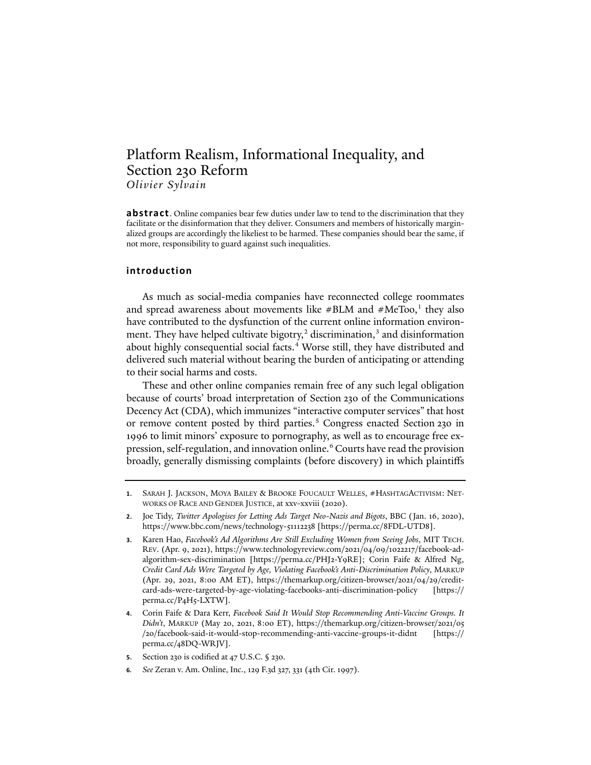# Platform Realism, Informational Inequality, and Section 230 Reform *Olivier Sylvain*

**abstract**. Online companies bear few duties under law to tend to the discrimination that they facilitate or the disinformation that they deliver. Consumers and members of historically marginalized groups are accordingly the likeliest to be harmed. These companies should bear the same, if not more, responsibility to guard against such inequalities.

## **introduction**

<span id="page-0-6"></span>As much as social-media companies have reconnected college roommates and spread awareness about movements like  $\# \text{BLM}$  and  $\# \text{MeToo}$ ,<sup>[1](#page-0-0)</sup> they also have contributed to the dysfunction of the current online information environment. They have helped cultivate bigotry, $2$  discrimination, $3$  and disinformation about highly consequential social facts.<sup>[4](#page-0-3)</sup> Worse still, they have distributed and delivered such material without bearing the burden of anticipating or attending to their social harms and costs.

These and other online companies remain free of any such legal obligation because of courts' broad interpretation of Section 230 of the Communications Decency Act (CDA), which immunizes "interactive computer services" that host or remove content posted by third parties.<sup>[5](#page-0-4)</sup> Congress enacted Section 230 in 1996 to limit minors' exposure to pornography, as well as to encourage free ex-pression, self-regulation, and innovation online.<sup>[6](#page-0-5)</sup> Courts have read the provision broadly, generally dismissing complaints (before discovery) in which plaintiffs

<span id="page-0-0"></span>**<sup>1</sup>**. SARAH J. JACKSON, MOYA BAILEY & BROOKE FOUCAULT WELLES, #HASHTAGACTIVISM: NET-WORKS OF RACE AND GENDER JUSTICE, at xxv-xxviii (2020).

<span id="page-0-1"></span>**<sup>2</sup>**. Joe Tidy, *Twitter Apologises for Letting Ads Target Neo-Nazis and Bigots*, BBC (Jan. 16, 2020), https://www.bbc.com/news/technology-51112238 [https://perma.cc/8FDL-UTD8].

<span id="page-0-2"></span>**<sup>3</sup>**. Karen Hao, *Facebook's Ad Algorithms Are Still Excluding Women from Seeing Jobs*, MIT TECH. REV. (Apr. 9, 2021), https://www.technologyreview.com/2021/04/09/1022217/facebook-adalgorithm-sex-discrimination [https://perma.cc/PHJ2-Y9RE]; Corin Faife & Alfred Ng, *Credit Card Ads Were Targeted by Age, Violating Facebook's Anti-Discrimination Policy*, MARKUP (Apr. 29, 2021, 8:00 AM ET), https://themarkup.org/citizen-browser/2021/04/29/creditcard-ads-were-targeted-by-age-violating-facebooks-anti-discrimination-policy [https:// perma.cc/P4H5-LXTW].

<span id="page-0-3"></span>**<sup>4</sup>**. Corin Faife & Dara Kerr, *Facebook Said It Would Stop Recommending Anti-Vaccine Groups. It Didn't*, MARKUP (May 20, 2021, 8:00 ET), https://themarkup.org/citizen-browser/2021/05 /20/facebook-said-it-would-stop-recommending-anti-vaccine-groups-it-didnt [https:// perma.cc/48DQ-WRJV].

<span id="page-0-4"></span>**<sup>5</sup>**. Section 230 is codified at 47 U.S.C. § 230.

<span id="page-0-5"></span>**<sup>6</sup>***. See* Zeran v. Am. Online, Inc., 129 F.3d 327, 331 (4th Cir. 1997).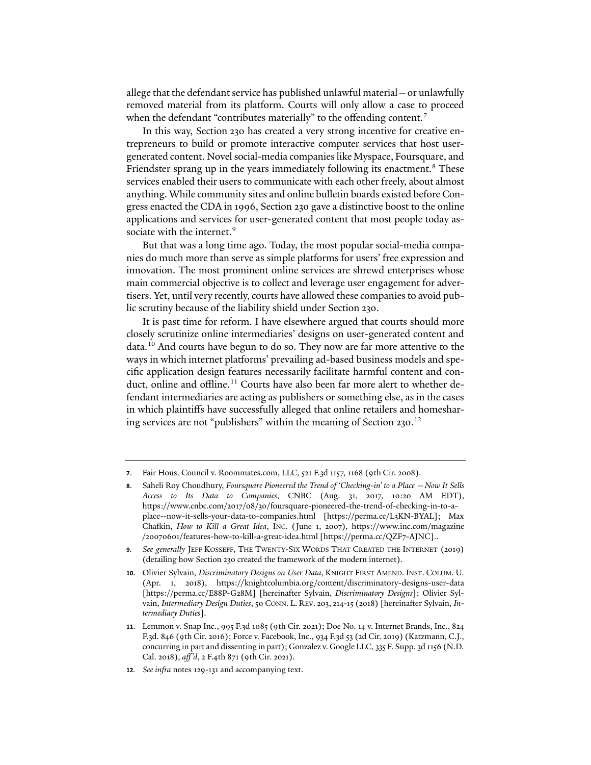allege that the defendant service has published unlawful material—or unlawfully removed material from its platform. Courts will only allow a case to proceed when the defendant "contributes materially" to the offending content.<sup>[7](#page-1-0)</sup>

In this way, Section 230 has created a very strong incentive for creative entrepreneurs to build or promote interactive computer services that host usergenerated content. Novel social-media companies like Myspace, Foursquare, and Friendster sprang up in the years immediately following its enactment.<sup>[8](#page-1-1)</sup> These services enabled their users to communicate with each other freely, about almost anything. While community sites and online bulletin boards existed before Congress enacted the CDA in 1996, Section 230 gave a distinctive boost to the online applications and services for user-generated content that most people today as-sociate with the internet.<sup>[9](#page-1-2)</sup>

<span id="page-1-6"></span>But that was a long time ago. Today, the most popular social-media companies do much more than serve as simple platforms for users' free expression and innovation. The most prominent online services are shrewd enterprises whose main commercial objective is to collect and leverage user engagement for advertisers. Yet, until very recently, courts have allowed these companies to avoid public scrutiny because of the liability shield under Section 230.

<span id="page-1-7"></span>It is past time for reform. I have elsewhere argued that courts should more closely scrutinize online intermediaries' designs on user-generated content and data.[10](#page-1-3) And courts have begun to do so. They now are far more attentive to the ways in which internet platforms' prevailing ad-based business models and specific application design features necessarily facilitate harmful content and con-duct, online and offline.<sup>[11](#page-1-4)</sup> Courts have also been far more alert to whether defendant intermediaries are acting as publishers or something else, as in the cases in which plaintiffs have successfully alleged that online retailers and homeshar-ing services are not "publishers" within the meaning of Section 230.<sup>[12](#page-1-5)</sup>

<span id="page-1-0"></span>**<sup>7</sup>**. Fair Hous. Council v. Roommates.com, LLC, 521 F.3d 1157, 1168 (9th Cir. 2008).

<span id="page-1-1"></span>**<sup>8</sup>**. Saheli Roy Choudhury, *Foursquare Pioneered the Trend of 'Checking-in' to a Place —Now It Sells Access to Its Data to Companies*, CNBC (Aug. 31, 2017, 10:20 AM EDT), https://www.cnbc.com/2017/08/30/foursquare-pioneered-the-trend-of-checking-in-to-aplace--now-it-sells-your-data-to-companies.html [https://perma.cc/L3KN-BYAL]; Max Cha�in, *How to Kill a Great Idea*, INC. (June 1, 2007), https://www.inc.com/magazine /20070601/features-how-to-kill-a-great-idea.html [https://perma.cc/QZF7-AJNC]..

<span id="page-1-2"></span>**<sup>9</sup>***. See generally* JEFF KOSSEFF, THE TWENTY-SIX WORDS THAT CREATED THE INTERNET (2019) (detailing how Section 230 created the framework of the modern internet).

<span id="page-1-3"></span>**<sup>10</sup>**. Olivier Sylvain, *Discriminatory Designs on User Data*, KNIGHT FIRST AMEND. INST. COLUM. U. (Apr. 1, 2018), https://knightcolumbia.org/content/discriminatory-designs-user-data [https://perma.cc/E88P-G28M] [hereina�er Sylvain, *Discriminatory Designs*]; Olivier Sylvain, *Intermediary Design Duties*, 50 CONN. L. REV. 203, 214-15 (2018) [hereinafter Sylvain, *Intermediary Duties*].

<span id="page-1-4"></span>**<sup>11</sup>**. Lemmon v. Snap Inc., 995 F.3d 1085 (9th Cir. 2021); Doe No. 14 v. Internet Brands, Inc., 824 F.3d. 846 (9th Cir. 2016); Force v. Facebook, Inc., 934 F.3d 53 (2d Cir. 2019) (Katzmann, C.J., concurring in part and dissenting in part); Gonzalez v. Google LLC, 335 F. Supp. 3d 1156 (N.D. Cal. 2018), *aff 'd*, 2 F.4th 871 (9th Cir. 2021).

<span id="page-1-5"></span>**<sup>12</sup>***. See infra* notes [129](#page-20-0)[-131](#page-20-1) and accompanying text.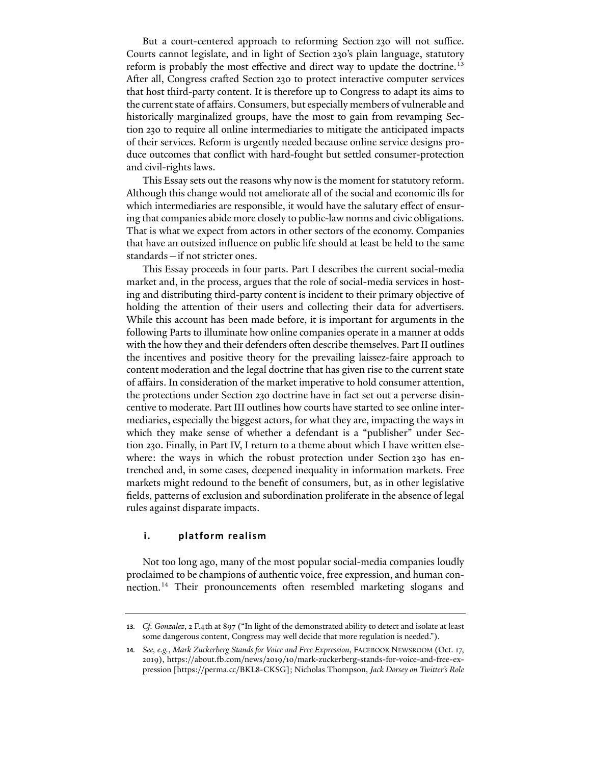But a court-centered approach to reforming Section 230 will not suffice. Courts cannot legislate, and in light of Section 230's plain language, statutory reform is probably the most effective and direct way to update the doctrine.<sup>[13](#page-2-0)</sup> After all, Congress crafted Section 230 to protect interactive computer services that host third-party content. It is therefore up to Congress to adapt its aims to the current state of affairs. Consumers, but especially members of vulnerable and historically marginalized groups, have the most to gain from revamping Section 230 to require all online intermediaries to mitigate the anticipated impacts of their services. Reform is urgently needed because online service designs produce outcomes that conflict with hard-fought but settled consumer-protection and civil-rights laws.

This Essay sets out the reasons why now is the moment for statutory reform. Although this change would not ameliorate all of the social and economic ills for which intermediaries are responsible, it would have the salutary effect of ensuring that companies abide more closely to public-law norms and civic obligations. That is what we expect from actors in other sectors of the economy. Companies that have an outsized influence on public life should at least be held to the same standards—if not stricter ones.

This Essay proceeds in four parts. Part I describes the current social-media market and, in the process, argues that the role of social-media services in hosting and distributing third-party content is incident to their primary objective of holding the attention of their users and collecting their data for advertisers. While this account has been made before, it is important for arguments in the following Parts to illuminate how online companies operate in a manner at odds with the how they and their defenders often describe themselves. Part II outlines the incentives and positive theory for the prevailing laissez-faire approach to content moderation and the legal doctrine that has given rise to the current state of affairs. In consideration of the market imperative to hold consumer attention, the protections under Section 230 doctrine have in fact set out a perverse disincentive to moderate. Part III outlines how courts have started to see online intermediaries, especially the biggest actors, for what they are, impacting the ways in which they make sense of whether a defendant is a "publisher" under Section 230. Finally, in Part IV, I return to a theme about which I have written elsewhere: the ways in which the robust protection under Section 230 has entrenched and, in some cases, deepened inequality in information markets. Free markets might redound to the benefit of consumers, but, as in other legislative fields, patterns of exclusion and subordination proliferate in the absence of legal rules against disparate impacts.

# **i. platform realism**

Not too long ago, many of the most popular social-media companies loudly proclaimed to be champions of authentic voice, free expression, and human con-nection.<sup>[14](#page-2-1)</sup> Their pronouncements often resembled marketing slogans and

<span id="page-2-0"></span>**<sup>13</sup>***. Cf. Gonzalez*, 2 F.4th at 897 ("In light of the demonstrated ability to detect and isolate at least some dangerous content, Congress may well decide that more regulation is needed.").

<span id="page-2-1"></span>**<sup>14</sup>***. See, e.g.*, *Mark Zuckerberg Stands for Voice and Free Expression*, FACEBOOK NEWSROOM (Oct. 17, 2019), https://about.�.com/news/2019/10/mark-zuckerberg-stands-for-voice-and-free-expression [https://perma.cc/BKL8-CKSG]; Nicholas Thompson, *Jack Dorsey on Twitter's Role*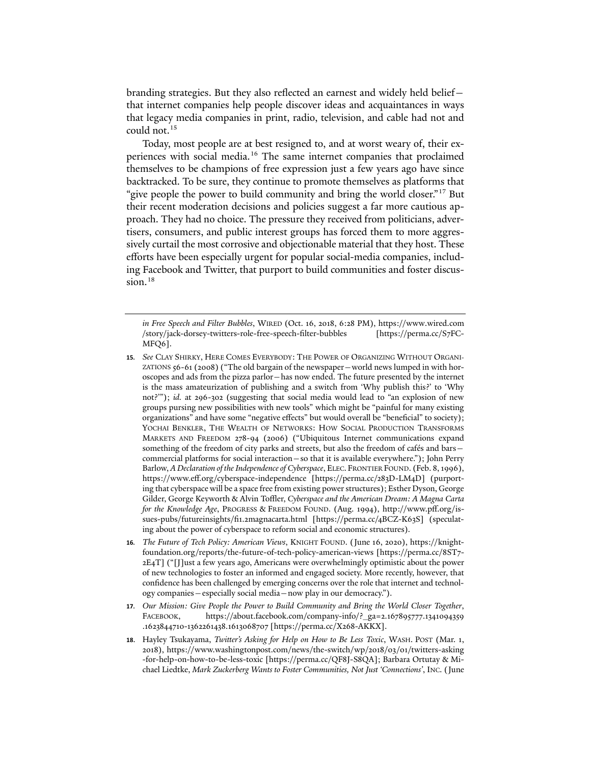branding strategies. But they also reflected an earnest and widely held belief that internet companies help people discover ideas and acquaintances in ways that legacy media companies in print, radio, television, and cable had not and could not.[15](#page-3-0)

Today, most people are at best resigned to, and at worst weary of, their experiences with social media.[16](#page-3-1) The same internet companies that proclaimed themselves to be champions of free expression just a few years ago have since backtracked. To be sure, they continue to promote themselves as platforms that "give people the power to build community and bring the world closer."<sup>[17](#page-3-2)</sup> But their recent moderation decisions and policies suggest a far more cautious approach. They had no choice. The pressure they received from politicians, advertisers, consumers, and public interest groups has forced them to more aggressively curtail the most corrosive and objectionable material that they host. These efforts have been especially urgent for popular social-media companies, including Facebook and Twitter, that purport to build communities and foster discus-sion.<sup>[18](#page-3-3)</sup>

*in Free Speech and Filter Bubbles*, WIRED (Oct. 16, 2018, 6:28 PM), https://www.wired.com /story/jack-dorsey-twitters-role-free-speech-filter-bubbles [https://perma.cc/S7FC-MFQ6].

- <span id="page-3-0"></span>**15***. See* CLAY SHIRKY, HERE COMES EVERYBODY: THE POWER OF ORGANIZING WITHOUT ORGANI-ZATIONS 56-61 (2008) ("The old bargain of the newspaper—world news lumped in with horoscopes and ads from the pizza parlor—has now ended. The future presented by the internet is the mass amateurization of publishing and a switch from 'Why publish this?' to 'Why not?'"); *id.* at 296-302 (suggesting that social media would lead to "an explosion of new groups pursing new possibilities with new tools" which might be "painful for many existing organizations" and have some "negative effects" but would overall be "beneficial" to society); YOCHAI BENKLER, THE WEALTH OF NETWORKS: HOW SOCIAL PRODUCTION TRANSFORMS MARKETS AND FREEDOM 278-94 (2006) ("Ubiquitous Internet communications expand something of the freedom of city parks and streets, but also the freedom of cafés and bars commercial platforms for social interaction—so that it is available everywhere."); John Perry Barlow, *A Declaration of the Independence of Cyberspace*, ELEC. FRONTIER FOUND. (Feb. 8, 1996), https://www.eff.org/cyberspace-independence [https://perma.cc/283D-LM4D] (purporting that cyberspace will be a space free from existing power structures); Esther Dyson, George Gilder, George Keyworth & Alvin Toffler, *Cyberspace and the American Dream: A Magna Carta for the Knowledge Age*, PROGRESS & FREEDOM FOUND. (Aug. 1994), http://www.pff.org/issues-pubs/futureinsights/fi1.2magnacarta.html [https://perma.cc/4BCZ-K63S] (speculating about the power of cyberspace to reform social and economic structures).
- <span id="page-3-1"></span>**16***. The Future of Tech Policy: American Views*, KNIGHT FOUND. (June 16, 2020), https://knightfoundation.org/reports/the-future-of-tech-policy-american-views [https://perma.cc/8ST7- 2E4T] ("[J]ust a few years ago, Americans were overwhelmingly optimistic about the power of new technologies to foster an informed and engaged society. More recently, however, that confidence has been challenged by emerging concerns over the role that internet and technology companies—especially social media—now play in our democracy.").
- <span id="page-3-2"></span>**17***. Our Mission: Give People the Power to Build Community and Bring the World Closer Together*, FACEBOOK, https://about.facebook.com/company-info/?\_ga=2.167895777.1341094359 .1623844710-1362261438.1613068707 [https://perma.cc/X268-AKKX].
- <span id="page-3-3"></span>**18**. Hayley Tsukayama, *Twitter's Asking for Help on How to Be Less Toxic*, WASH. POST (Mar. 1, 2018), https://www.washingtonpost.com/news/the-switch/wp/2018/03/01/twitters-asking -for-help-on-how-to-be-less-toxic [https://perma.cc/QF8J-S8QA]; Barbara Ortutay & Michael Liedtke, *Mark Zuckerberg Wants to Foster Communities, Not Just 'Connections'*, INC. (June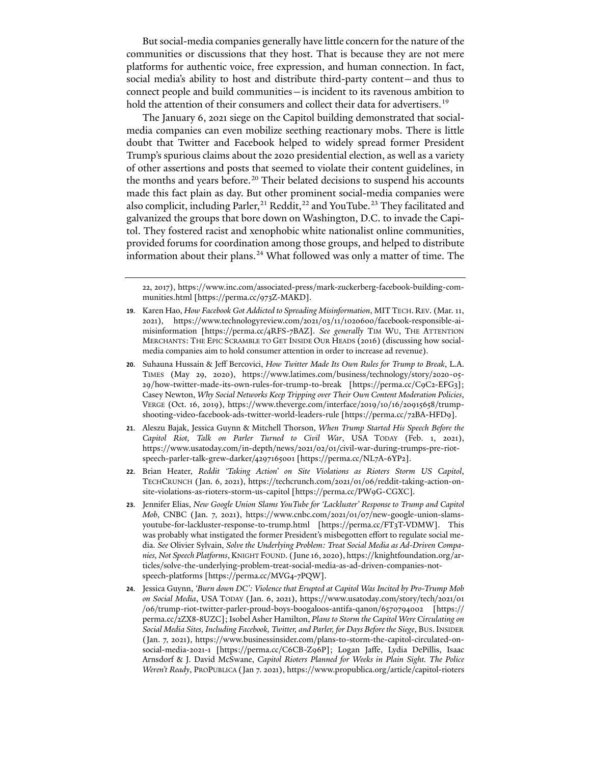But social-media companies generally have little concern for the nature of the communities or discussions that they host. That is because they are not mere platforms for authentic voice, free expression, and human connection. In fact, social media's ability to host and distribute third-party content—and thus to connect people and build communities—is incident to its ravenous ambition to hold the attention of their consumers and collect their data for advertisers.<sup>[19](#page-4-0)</sup>

<span id="page-4-6"></span>The January 6, 2021 siege on the Capitol building demonstrated that socialmedia companies can even mobilize seething reactionary mobs. There is little doubt that Twitter and Facebook helped to widely spread former President Trump's spurious claims about the 2020 presidential election, as well as a variety of other assertions and posts that seemed to violate their content guidelines, in the months and years before.<sup>[20](#page-4-1)</sup> Their belated decisions to suspend his accounts made this fact plain as day. But other prominent social-media companies were also complicit, including Parler,<sup>[21](#page-4-2)</sup> Reddit,<sup>[22](#page-4-3)</sup> and YouTube.<sup>[23](#page-4-4)</sup> They facilitated and galvanized the groups that bore down on Washington, D.C. to invade the Capitol. They fostered racist and xenophobic white nationalist online communities, provided forums for coordination among those groups, and helped to distribute information about their plans.<sup>[24](#page-4-5)</sup> What followed was only a matter of time. The

- <span id="page-4-2"></span>**21**. Aleszu Bajak, Jessica Guynn & Mitchell Thorson, *When Trump Started His Speech Before the Capitol Riot, Talk on Parler Turned to Civil War*, USA TODAY (Feb. 1, 2021), https://www.usatoday.com/in-depth/news/2021/02/01/civil-war-during-trumps-pre-riotspeech-parler-talk-grew-darker/4297165001 [https://perma.cc/NL7A-6YP2].
- <span id="page-4-3"></span>**22**. Brian Heater, *Reddit 'Taking Action' on Site Violations as Rioters Storm US Capitol*, TECHCRUNCH (Jan. 6, 2021), https://techcrunch.com/2021/01/06/reddit-taking-action-onsite-violations-as-rioters-storm-us-capitol [https://perma.cc/PW9G-CGXC].
- <span id="page-4-4"></span>**23**. Jennifer Elias, *New Google Union Slams YouTube for 'Lackluster' Response to Trump and Capitol Mob*, CNBC (Jan. 7, 2021), https://www.cnbc.com/2021/01/07/new-google-union-slamsyoutube-for-lackluster-response-to-trump.html [https://perma.cc/FT3T-VDMW]. This was probably what instigated the former President's misbegotten effort to regulate social media. *See* Olivier Sylvain, *Solve the Underlying Problem: Treat Social Media as Ad-Driven Companies, Not Speech Platforms*, KNIGHT FOUND. (June 16, 2020), https://knightfoundation.org/articles/solve-the-underlying-problem-treat-social-media-as-ad-driven-companies-notspeech-platforms [https://perma.cc/MVG4-7PQW].
- <span id="page-4-5"></span>**24**. Jessica Guynn, *'Burn down DC': Violence that Erupted at Capitol Was Incited by Pro-Trump Mob on Social Media*, USA TODAY (Jan. 6, 2021), https://www.usatoday.com/story/tech/2021/01 /06/trump-riot-twitter-parler-proud-boys-boogaloos-antifa-qanon/6570794002 [https:// perma.cc/2ZX8-8UZC]; Isobel Asher Hamilton, *Plans to Storm the Capitol Were Circulating on Social Media Sites, Including Facebook, Twitter, and Parler, for Days Before the Siege*, BUS.INSIDER (Jan. 7, 2021), https://www.businessinsider.com/plans-to-storm-the-capitol-circulated-onsocial-media-2021-1 [https://perma.cc/C6CB-Z96P]; Logan Jaffe, Lydia DePillis, Isaac Arnsdorf & J. David McSwane, *Capitol Rioters Planned for Weeks in Plain Sight. The Police Weren't Ready*, PROPUBLICA (Jan 7. 2021), https://www.propublica.org/article/capitol-rioters

<sup>22, 2017),</sup> https://www.inc.com/associated-press/mark-zuckerberg-facebook-building-communities.html [https://perma.cc/973Z-MAKD].

<span id="page-4-0"></span>**<sup>19</sup>**. Karen Hao, *How Facebook Got Addicted to Spreading Misinformation*, MITTECH. REV. (Mar. 11, 2021), https://www.technologyreview.com/2021/03/11/1020600/facebook-responsible-aimisinformation [https://perma.cc/4RFS-7BAZ]. *See generally* TIM WU, THE ATTENTION MERCHANTS: THE EPIC SCRAMBLE TO GET INSIDE OUR HEADS (2016) (discussing how socialmedia companies aim to hold consumer attention in order to increase ad revenue).

<span id="page-4-1"></span>**<sup>20</sup>**. Suhauna Hussain & Jeff Bercovici, *How Twitter Made Its Own Rules for Trump to Break*, L.A. TIMES (May 29, 2020), https://www.latimes.com/business/technology/story/2020-05- 29/how-twitter-made-its-own-rules-for-trump-to-break [https://perma.cc/C9C2-EFG3]; Casey Newton, *Why Social Networks Keep Tripping over Their Own Content Moderation Policies*, VERGE (Oct. 16, 2019), https://www.theverge.com/interface/2019/10/16/20915658/trumpshooting-video-facebook-ads-twitter-world-leaders-rule [https://perma.cc/72BA-HFD9].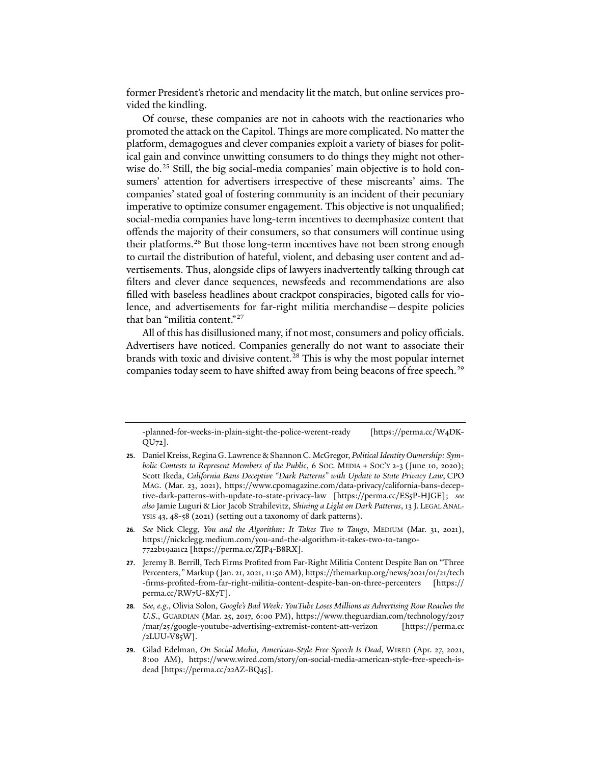former President's rhetoric and mendacity lit the match, but online services provided the kindling.

Of course, these companies are not in cahoots with the reactionaries who promoted the attack on the Capitol. Things are more complicated. No matter the platform, demagogues and clever companies exploit a variety of biases for political gain and convince unwitting consumers to do things they might not other-wise do.<sup>[25](#page-5-0)</sup> Still, the big social-media companies' main objective is to hold consumers' attention for advertisers irrespective of these miscreants' aims. The companies' stated goal of fostering community is an incident of their pecuniary imperative to optimize consumer engagement. This objective is not unqualified; social-media companies have long-term incentives to deemphasize content that offends the majority of their consumers, so that consumers will continue using their platforms.<sup>[26](#page-5-1)</sup> But those long-term incentives have not been strong enough to curtail the distribution of hateful, violent, and debasing user content and advertisements. Thus, alongside clips of lawyers inadvertently talking through cat filters and clever dance sequences, newsfeeds and recommendations are also filled with baseless headlines about crackpot conspiracies, bigoted calls for violence, and advertisements for far-right militia merchandise—despite policies that ban "militia content."[27](#page-5-2)

All of this has disillusioned many, if not most, consumers and policy officials. Advertisers have noticed. Companies generally do not want to associate their brands with toxic and divisive content.<sup>[28](#page-5-3)</sup> This is why the most popular internet companies today seem to have shifted away from being beacons of free speech.<sup>[29](#page-5-4)</sup>

- <span id="page-5-1"></span>**26***. See* Nick Clegg, *You and the Algorithm: It Takes Two to Tango*, MEDIUM (Mar. 31, 2021), https://nickclegg.medium.com/you-and-the-algorithm-it-takes-two-to-tango-7722b19aa1c2 [https://perma.cc/ZJP4-B8RX].
- <span id="page-5-2"></span>**27**. Jeremy B. Berrill, Tech Firms Profited from Far-Right Militia Content Despite Ban on "Three Percenters,*"* Markup (Jan. 21, 2021, 11:50 AM), https://themarkup.org/news/2021/01/21/tech -firms-profited-from-far-right-militia-content-despite-ban-on-three-percenters [https:// perma.cc/RW7U-8X7T].
- <span id="page-5-3"></span>**28***. See, e.g*., Olivia Solon, *Google's Bad Week: YouTube Loses Millions as Advertising Row Reaches the U.S*., GUARDIAN (Mar. 25, 2017, 6:00 PM), https://www.theguardian.com/technology/2017 /mar/25/google-youtube-advertising-extremist-content-att-verizon [https://perma.cc /2LUU-V85W].
- <span id="page-5-4"></span>**29**. Gilad Edelman, *On Social Media, American-Style Free Speech Is Dead*, WIRED (Apr. 27, 2021, 8:00 AM), https://www.wired.com/story/on-social-media-american-style-free-speech-isdead [https://perma.cc/22AZ-BQ45].

<sup>-</sup>planned-for-weeks-in-plain-sight-the-police-werent-ready [https://perma.cc/W4DK-QU72].

<span id="page-5-0"></span>**<sup>25</sup>**. Daniel Kreiss, Regina G. Lawrence & Shannon C. McGregor, *Political Identity Ownership: Symbolic Contests to Represent Members of the Public*, 6 Soc. MEDIA + Soc'Y 2-3 (June 10, 2020); Scott Ikeda, *California Bans Deceptive "Dark Patterns" with Update to State Privacy Law*, CPO MAG. (Mar. 23, 2021), https://www.cpomagazine.com/data-privacy/california-bans-deceptive-dark-patterns-with-update-to-state-privacy-law [https://perma.cc/ES5P-HJGE]; *see also* Jamie Luguri & Lior Jacob Strahilevitz, *Shining a Light on Dark Patterns*, 13 J. LEGAL ANAL-YSIS 43, 48-58 (2021) (setting out a taxonomy of dark patterns).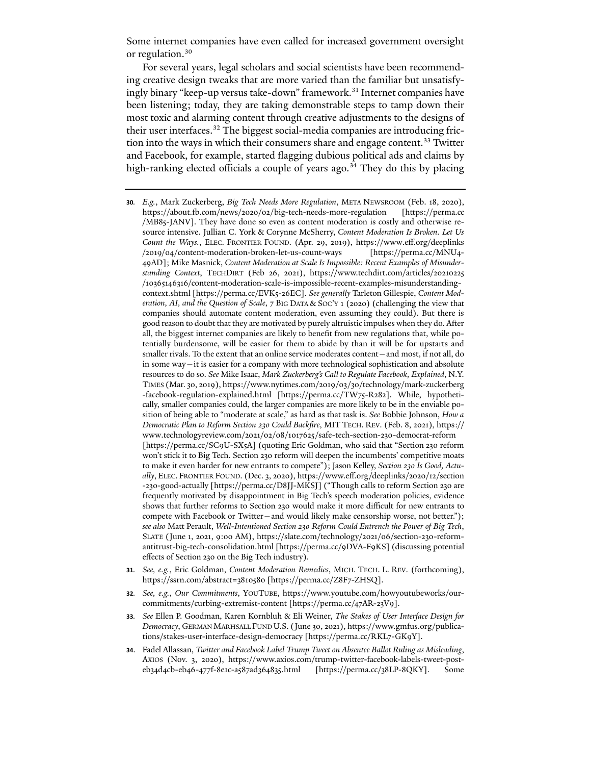Some internet companies have even called for increased government oversight or regulation.<sup>[30](#page-6-0)</sup>

For several years, legal scholars and social scientists have been recommending creative design tweaks that are more varied than the familiar but unsatisfy-ingly binary "keep-up versus take-down" framework.<sup>[31](#page-6-1)</sup> Internet companies have been listening; today, they are taking demonstrable steps to tamp down their most toxic and alarming content through creative adjustments to the designs of their user interfaces.[32](#page-6-2) The biggest social-media companies are introducing fric-tion into the ways in which their consumers share and engage content.<sup>[33](#page-6-3)</sup> Twitter and Facebook, for example, started flagging dubious political ads and claims by high-ranking elected officials a couple of years ago.<sup>34</sup> They do this by placing

- <span id="page-6-5"></span><span id="page-6-0"></span>**30***. E.g.*, Mark Zuckerberg, *Big Tech Needs More Regulation*, META NEWSROOM (Feb. 18, 2020), https://about.�.com/news/2020/02/big-tech-needs-more-regulation [https://perma.cc /MB85-JANV]. They have done so even as content moderation is costly and otherwise resource intensive. Jullian C. York & Corynne McSherry, *Content Moderation Is Broken. Let Us Count the Ways.*, ELEC. FRONTIER FOUND. (Apr. 29, 2019), https://www.eff.org/deeplinks /2019/04/content-moderation-broken-let-us-count-ways [https://perma.cc/MNU4- 49AD]; Mike Masnick, *Content Moderation at Scale Is Impossible: Recent Examples of Misunderstanding Context*, TECHDIRT (Feb 26, 2021), https://www.techdirt.com/articles/20210225 /10365146316/content-moderation-scale-is-impossible-recent-examples-misunderstandingcontext.shtml [https://perma.cc/EVK5-26EC]. *See generally* Tarleton Gillespie, *Content Moderation, AI, and the Question of Scale*, 7 BIG DATA & SOC'Y 1 (2020) (challenging the view that companies should automate content moderation, even assuming they could). But there is good reason to doubt that they are motivated by purely altruistic impulses when they do. A�er all, the biggest internet companies are likely to benefit from new regulations that, while potentially burdensome, will be easier for them to abide by than it will be for upstarts and smaller rivals. To the extent that an online service moderates content—and most, if not all, do in some way—it is easier for a company with more technological sophistication and absolute resources to do so. *See* Mike Isaac, *Mark Zuckerberg's Call to Regulate Facebook, Explained*, N.Y. TIMES (Mar. 30, 2019), https://www.nytimes.com/2019/03/30/technology/mark-zuckerberg -facebook-regulation-explained.html [https://perma.cc/TW75-R282]. While, hypothetically, smaller companies could, the larger companies are more likely to be in the enviable position of being able to "moderate at scale," as hard as that task is. *See* Bobbie Johnson, *How a Democratic Plan to Reform Section 230 Could Backfire*, MIT TECH. REV. (Feb. 8, 2021), https:// www.technologyreview.com/2021/02/08/1017625/safe-tech-section-230-democrat-reform [https://perma.cc/SC9U-SX5A] (quoting Eric Goldman, who said that "Section 230 reform won't stick it to Big Tech. Section 230 reform will deepen the incumbents' competitive moats to make it even harder for new entrants to compete"); Jason Kelley, *Section 230 Is Good, Actually*, ELEC. FRONTIER FOUND. (Dec. 3, 2020), https://www.eff.org/deeplinks/2020/12/section -230-good-actually [https://perma.cc/D8JJ-MKSJ] ("Though calls to reform Section 230 are frequently motivated by disappointment in Big Tech's speech moderation policies, evidence shows that further reforms to Section 230 would make it more difficult for new entrants to compete with Facebook or Twitter—and would likely make censorship worse, not better."); *see also* Matt Perault, *Well-Intentioned Section 230 Reform Could Entrench the Power of Big Tech*, SLATE (June 1, 2021, 9:00 AM), https://slate.com/technology/2021/06/section-230-reformantitrust-big-tech-consolidation.html [https://perma.cc/9DVA-F9KS] (discussing potential effects of Section 230 on the Big Tech industry).
- <span id="page-6-1"></span>**31***. See, e.g.*, Eric Goldman, *Content Moderation Remedies*, MICH. TECH. L. REV. (forthcoming), https://ssrn.com/abstract=3810580 [https://perma.cc/Z8F7-ZHSQ].
- <span id="page-6-2"></span>**32***. See, e.g.*, *Our Commitments*, YOUTUBE, https://www.youtube.com/howyoutubeworks/ourcommitments/curbing-extremist-content [https://perma.cc/47AR-23V9].
- <span id="page-6-3"></span>**33***. See* Ellen P. Goodman, Karen Kornbluh & Eli Weiner, *The Stakes of User Interface Design for Democracy*, GERMAN MARHSALL FUND U.S. (June 30, 2021), https://www.gmfus.org/publications/stakes-user-interface-design-democracy [https://perma.cc/RKL7-GK9Y].
- <span id="page-6-4"></span>**34**. Fadel Allassan, *Twitter and Facebook Label Trump Tweet on Absentee Ballot Ruling as Misleading*, AXIOS (Nov. 3, 2020), https://www.axios.com/trump-twitter-facebook-labels-tweet-posteb34d4cb-eb46-477f-8e1c-a587ad364835.html [https://perma.cc/38LP-8QKY]. Some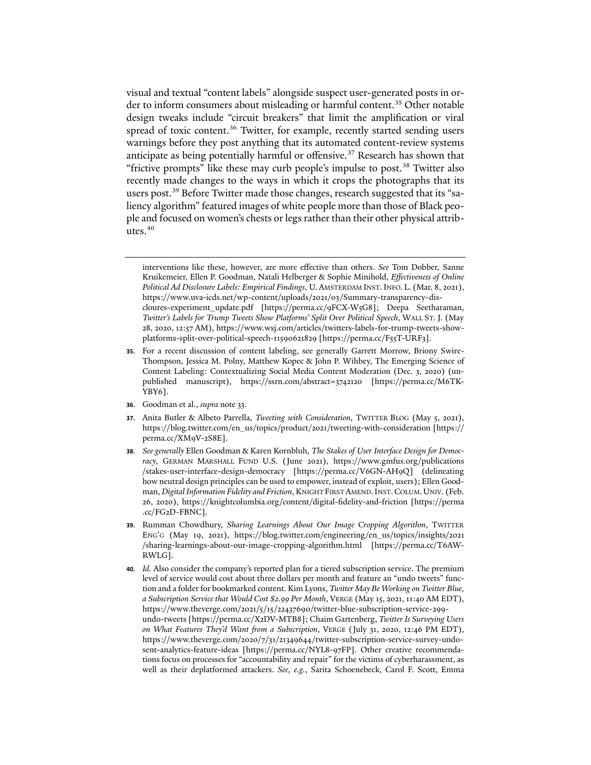visual and textual "content labels" alongside suspect user-generated posts in or-der to inform consumers about misleading or harmful content.<sup>[35](#page-7-0)</sup> Other notable design tweaks include "circuit breakers" that limit the amplification or viral spread of toxic content.<sup>[36](#page-7-1)</sup> Twitter, for example, recently started sending users warnings before they post anything that its automated content-review systems anticipate as being potentially harmful or offensive.<sup>[37](#page-7-2)</sup> Research has shown that "frictive prompts" like these may curb people's impulse to post.<sup>[38](#page-7-3)</sup> Twitter also recently made changes to the ways in which it crops the photographs that its users post.<sup>39</sup> Before Twitter made those changes, research suggested that its "saliency algorithm" featured images of white people more than those of Black people and focused on women's chests or legs rather than their other physical attributes. $40$ 

- <span id="page-7-0"></span>**35**. For a recent discussion of content labeling, see generally Garrett Morrow, Briony Swire-Thompson, Jessica M. Polny, Matthew Kopec & John P. Wihbey, The Emerging Science of Content Labeling: Contextualizing Social Media Content Moderation (Dec. 3, 2020) (unpublished manuscript), https://ssrn.com/abstract=3742120 [https://perma.cc/M6TK-YBY6].
- <span id="page-7-1"></span>**36**. Goodman et al., *supra* not[e 33.](#page-6-5)
- <span id="page-7-2"></span>**37**. Anita Butler & Albeto Parrella, *Tweeting with Consideration*, TWITTER BLOG (May 5, 2021), https://blog.twitter.com/en\_us/topics/product/2021/tweeting-with-consideration [https:// perma.cc/XM9V-2S8E].
- <span id="page-7-3"></span>**38***. See generally* Ellen Goodman & Karen Kornbluh, *The Stakes of User Interface Design for Democracy*, GERMAN MARSHALL FUND U.S. (June 2021), https://www.gmfus.org/publications /stakes-user-interface-design-democracy [https://perma.cc/V6GN-AH9Q] (delineating how neutral design principles can be used to empower, instead of exploit, users); Ellen Goodman, *Digital Information Fidelity and Friction*, KNIGHT FIRST AMEND.INST.COLUM.UNIV. (Feb. 26, 2020), https://knightcolumbia.org/content/digital-fidelity-and-friction [https://perma .cc/FG2D-FBNC].
- <span id="page-7-4"></span>**39**. Rumman Chowdhury, *Sharing Learnings About Our Image Cropping Algorithm*, TWITTER ENG'G (May 19, 2021), https://blog.twitter.com/engineering/en\_us/topics/insights/2021 /sharing-learnings-about-our-image-cropping-algorithm.html [https://perma.cc/T6AW-RWLG].
- <span id="page-7-5"></span>**40***. Id.* Also consider the company's reported plan for a tiered subscription service. The premium level of service would cost about three dollars per month and feature an "undo tweets" function and a folder for bookmarked content. Kim Lyons, *Twitter May Be Working on Twitter Blue, a Subscription Service that Would Cost \$2.99 Per Month*, VERGE (May 15, 2021, 11:40 AM EDT), https://www.theverge.com/2021/5/15/22437690/twitter-blue-subscription-service-299 undo-tweets [https://perma.cc/X2DV-MTB8]; Chaim Gartenberg, *Twitter Is Surveying Users on What Features They'd Want from a Subscription*, VERGE (July 31, 2020, 12:46 PM EDT), https://www.theverge.com/2020/7/31/21349644/twitter-subscription-service-survey-undosent-analytics-feature-ideas [https://perma.cc/NYL8-97FP]. Other creative recommendations focus on processes for "accountability and repair" for the victims of cyberharassment, as well as their deplatformed attackers. *See, e.g.*, Sarita Schoenebeck, Carol F. Scott, Emma

interventions like these, however, are more effective than others. *See* Tom Dobber, Sanne Kruikemeier, Ellen P. Goodman, Natali Helberger & Sophie Minihold, *Effectiveness of Online Political Ad Disclosure Labels: Empirical Findings*, U. AMSTERDAM INST.INFO. L. (Mar. 8, 2021), https://www.uva-icds.net/wp-content/uploads/2021/03/Summary-transparency-discloures-experiment\_update.pdf [https://perma.cc/9FCX-W5G8]; Deepa Seetharaman, *Twitter's Labels for Trump Tweets Show Platforms' Split Over Political Speech*, WALL ST. J. (May 28, 2020, 12:57 AM), https://www.wsj.com/articles/twitters-labels-for-trump-tweets-showplatforms-split-over-political-speech-11590621829 [https://perma.cc/F55T-URF3].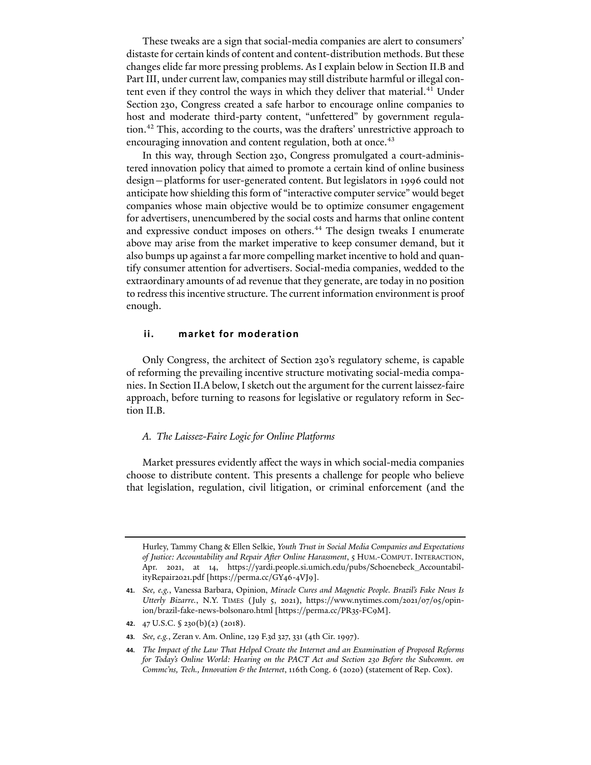These tweaks are a sign that social-media companies are alert to consumers' distaste for certain kinds of content and content-distribution methods. But these changes elide far more pressing problems. As I explain below in Section II.B and Part III, under current law, companies may still distribute harmful or illegal con-tent even if they control the ways in which they deliver that material.<sup>[41](#page-8-0)</sup> Under Section 230, Congress created a safe harbor to encourage online companies to host and moderate third-party content, "unfettered" by government regula-tion.<sup>[42](#page-8-1)</sup> This, according to the courts, was the drafters' unrestrictive approach to encouraging innovation and content regulation, both at once.<sup>[43](#page-8-2)</sup>

In this way, through Section 230, Congress promulgated a court-administered innovation policy that aimed to promote a certain kind of online business design—platforms for user-generated content. But legislators in 1996 could not anticipate how shielding this form of "interactive computer service" would beget companies whose main objective would be to optimize consumer engagement for advertisers, unencumbered by the social costs and harms that online content and expressive conduct imposes on others.<sup>[44](#page-8-3)</sup> The design tweaks I enumerate above may arise from the market imperative to keep consumer demand, but it also bumps up against a far more compelling market incentive to hold and quantify consumer attention for advertisers. Social-media companies, wedded to the extraordinary amounts of ad revenue that they generate, are today in no position to redress this incentive structure. The current information environment is proof enough.

## **ii. market for moderation**

Only Congress, the architect of Section 230's regulatory scheme, is capable of reforming the prevailing incentive structure motivating social-media companies. In Section II.A below, I sketch out the argument for the current laissez-faire approach, before turning to reasons for legislative or regulatory reform in Section II.B.

#### *A. The Laissez-Faire Logic for Online Platforms*

Market pressures evidently affect the ways in which social-media companies choose to distribute content. This presents a challenge for people who believe that legislation, regulation, civil litigation, or criminal enforcement (and the

Hurley, Tammy Chang & Ellen Selkie, *Youth Trust in Social Media Companies and Expectations of Justice: Accountability and Repair A�er Online Harassment*, 5 HUM.-COMPUT. INTERACTION, Apr. 2021, at 14, https://yardi.people.si.umich.edu/pubs/Schoenebeck\_AccountabilityRepair2021.pdf [https://perma.cc/GY46-4VJ9].

<span id="page-8-0"></span>**<sup>41</sup>***. See, e.g.*, Vanessa Barbara, Opinion, *Miracle Cures and Magnetic People. Brazil's Fake News Is Utterly Bizarre.*, N.Y. TIMES (July 5, 2021), https://www.nytimes.com/2021/07/05/opinion/brazil-fake-news-bolsonaro.html [https://perma.cc/PR35-FC9M].

<span id="page-8-1"></span>**<sup>42</sup>**. 47 U.S.C. § 230(b)(2) (2018).

<span id="page-8-2"></span>**<sup>43</sup>***. See, e.g.*, Zeran v. Am. Online, 129 F.3d 327, 331 (4th Cir. 1997).

<span id="page-8-3"></span>**<sup>44</sup>***. The Impact of the Law That Helped Create the Internet and an Examination of Proposed Reforms for Today's Online World: Hearing on the PACT Act and Section 230 Before the Subcomm. on Commc'ns, Tech., Innovation & the Internet*, 116th Cong. 6 (2020) (statement of Rep. Cox).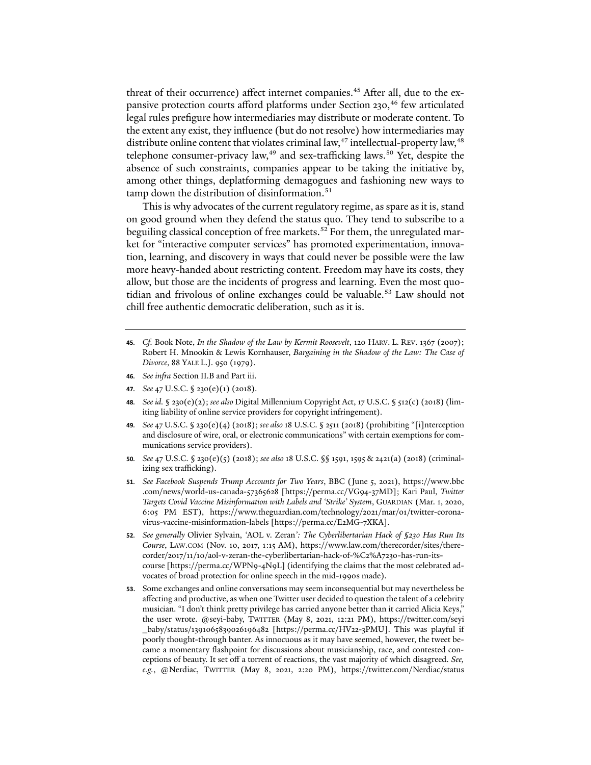threat of their occurrence) affect internet companies.<sup>45</sup> After all, due to the ex-pansive protection courts afford platforms under Section 230,<sup>[46](#page-9-1)</sup> few articulated legal rules prefigure how intermediaries may distribute or moderate content. To the extent any exist, they influence (but do not resolve) how intermediaries may distribute online content that violates criminal law,<sup>[47](#page-9-2)</sup> intellectual-property law,<sup>[48](#page-9-3)</sup> telephone consumer-privacy law, $49$  and sex-trafficking laws.<sup>[50](#page-9-5)</sup> Yet, despite the absence of such constraints, companies appear to be taking the initiative by, among other things, deplatforming demagogues and fashioning new ways to tamp down the distribution of disinformation.<sup>[51](#page-9-6)</sup>

This is why advocates of the current regulatory regime, as spare as it is, stand on good ground when they defend the status quo. They tend to subscribe to a beguiling classical conception of free markets.<sup>[52](#page-9-7)</sup> For them, the unregulated market for "interactive computer services" has promoted experimentation, innovation, learning, and discovery in ways that could never be possible were the law more heavy-handed about restricting content. Freedom may have its costs, they allow, but those are the incidents of progress and learning. Even the most quotidian and frivolous of online exchanges could be valuable.[53](#page-9-8) Law should not chill free authentic democratic deliberation, such as it is.

- <span id="page-9-0"></span>**45***. Cf.* Book Note, *In the Shadow of the Law by Kermit Roosevelt*, 120 HARV. L. REV. 1367 (2007); Robert H. Mnookin & Lewis Kornhauser, *Bargaining in the Shadow of the Law: The Case of Divorce*, 88 YALE L.J. 950 (1979).
- <span id="page-9-1"></span>**46***. See infra* Section II.B and Par[t iii.](#page-16-0)
- <span id="page-9-2"></span>**47***. See* 47 U.S.C. § 230(e)(1) (2018).
- <span id="page-9-3"></span>**48***. See id.* § 230(e)(2); *see also* Digital Millennium Copyright Act, 17 U.S.C. § 512(c) (2018) (limiting liability of online service providers for copyright infringement).
- <span id="page-9-4"></span>**49***. See* 47 U.S.C. § 230(e)(4) (2018); *see also* 18 U.S.C. § 2511 (2018) (prohibiting "[i]nterception and disclosure of wire, oral, or electronic communications" with certain exemptions for communications service providers).
- <span id="page-9-5"></span>**50***. See* 47 U.S.C. § 230(e)(5) (2018); *see also* 18 U.S.C. §§ 1591, 1595 & 2421(a) (2018) (criminalizing sex trafficking).
- <span id="page-9-6"></span>**51***. See Facebook Suspends Trump Accounts for Two Years*, BBC (June 5, 2021), https://www.bbc .com/news/world-us-canada-57365628 [https://perma.cc/VG94-37MD]; Kari Paul, *Twitter Targets Covid Vaccine Misinformation with Labels and 'Strike' System*, GUARDIAN (Mar. 1, 2020, 6:05 PM EST), https://www.theguardian.com/technology/2021/mar/01/twitter-coronavirus-vaccine-misinformation-labels [https://perma.cc/E2MG-7XKA].
- <span id="page-9-7"></span>**52***. See generally* Olivier Sylvain, *'*AOL v. Zeran*': The Cyberlibertarian Hack of §230 Has Run Its Course*, LAW.COM (Nov. 10, 2017, 1:15 AM), https://www.law.com/therecorder/sites/therecorder/2017/11/10/aol-v-zeran-the-cyberlibertarian-hack-of-%C2%A7230-has-run-itscourse [https://perma.cc/WPN9-4N9L] (identifying the claims that the most celebrated advocates of broad protection for online speech in the mid-1990s made).
- <span id="page-9-8"></span>**53**. Some exchanges and online conversations may seem inconsequential but may nevertheless be affecting and productive, as when one Twitter user decided to question the talent of a celebrity musician. "I don't think pretty privilege has carried anyone better than it carried Alicia Keys," the user wrote. @seyi-baby, TWITTER (May 8, 2021, 12:21 PM), https://twitter.com/seyi \_baby/status/1391065839026196482 [https://perma.cc/HV22-3PMU]. This was playful if poorly thought-through banter. As innocuous as it may have seemed, however, the tweet became a momentary flashpoint for discussions about musicianship, race, and contested conceptions of beauty. It set off a torrent of reactions, the vast majority of which disagreed. *See, e.g.*, @Nerdiac, TWITTER (May 8, 2021, 2:20 PM), https://twitter.com/Nerdiac/status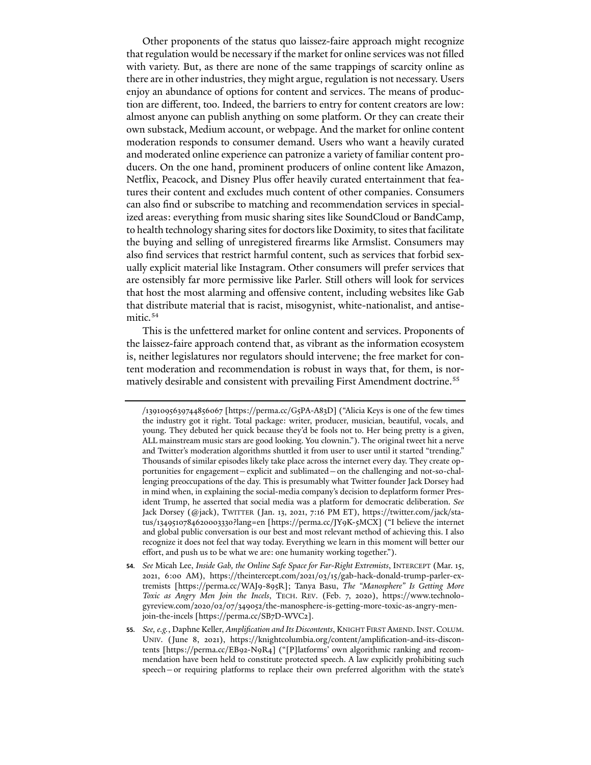Other proponents of the status quo laissez-faire approach might recognize that regulation would be necessary if the market for online services was not filled with variety. But, as there are none of the same trappings of scarcity online as there are in other industries, they might argue, regulation is not necessary. Users enjoy an abundance of options for content and services. The means of production are different, too. Indeed, the barriers to entry for content creators are low: almost anyone can publish anything on some platform. Or they can create their own substack, Medium account, or webpage. And the market for online content moderation responds to consumer demand. Users who want a heavily curated and moderated online experience can patronize a variety of familiar content producers. On the one hand, prominent producers of online content like Amazon, Netflix, Peacock, and Disney Plus offer heavily curated entertainment that features their content and excludes much content of other companies. Consumers can also find or subscribe to matching and recommendation services in specialized areas: everything from music sharing sites like SoundCloud or BandCamp, to health technology sharing sites for doctors like Doximity, to sites that facilitate the buying and selling of unregistered firearms like Armslist. Consumers may also find services that restrict harmful content, such as services that forbid sexually explicit material like Instagram. Other consumers will prefer services that are ostensibly far more permissive like Parler. Still others will look for services that host the most alarming and offensive content, including websites like Gab that distribute material that is racist, misogynist, white-nationalist, and antise-mitic.<sup>[54](#page-10-0)</sup>

This is the unfettered market for online content and services. Proponents of the laissez-faire approach contend that, as vibrant as the information ecosystem is, neither legislatures nor regulators should intervene; the free market for content moderation and recommendation is robust in ways that, for them, is nor-matively desirable and consistent with prevailing First Amendment doctrine.<sup>[55](#page-10-1)</sup>

- <span id="page-10-0"></span>**54***. See* Micah Lee, *Inside Gab, the Online Safe Space for Far-Right Extremists*, INTERCEPT (Mar. 15, 2021, 6:00 AM), https://theintercept.com/2021/03/15/gab-hack-donald-trump-parler-extremists [https://perma.cc/WAJ9-895R]; Tanya Basu, *The "Manosphere" Is Getting More Toxic as Angry Men Join the Incels*, TECH. REV. (Feb. 7, 2020), https://www.technologyreview.com/2020/02/07/349052/the-manosphere-is-getting-more-toxic-as-angry-menjoin-the-incels [https://perma.cc/SB7D-WVC2].
- <span id="page-10-1"></span>**55***. See, e.g.*, Daphne Keller, *Amplification and Its Discontents*, KNIGHT FIRST AMEND.INST.COLUM. UNIV. (June 8, 2021), https://knightcolumbia.org/content/amplification-and-its-discontents [https://perma.cc/EB92-N9R4] ("[P]latforms' own algorithmic ranking and recommendation have been held to constitute protected speech. A law explicitly prohibiting such speech—or requiring platforms to replace their own preferred algorithm with the state's

<sup>/1391095639744856067 [</sup>https://perma.cc/G5PA-A83D] ("Alicia Keys is one of the few times the industry got it right. Total package: writer, producer, musician, beautiful, vocals, and young. They debuted her quick because they'd be fools not to. Her being pretty is a given, ALL mainstream music stars are good looking. You clownin."). The original tweet hit a nerve and Twitter's moderation algorithms shuttled it from user to user until it started "trending." Thousands of similar episodes likely take place across the internet every day. They create opportunities for engagement—explicit and sublimated—on the challenging and not-so-challenging preoccupations of the day. This is presumably what Twitter founder Jack Dorsey had in mind when, in explaining the social-media company's decision to deplatform former President Trump, he asserted that social media was a platform for democratic deliberation. *See* Jack Dorsey (@jack), TWITTER (Jan. 13, 2021, 7:16 PM ET), https://twitter.com/jack/status/1349510784620003330?lang=en [https://perma.cc/JY9K-5MCX] ("I believe the internet and global public conversation is our best and most relevant method of achieving this. I also recognize it does not feel that way today. Everything we learn in this moment will better our effort, and push us to be what we are: one humanity working together.").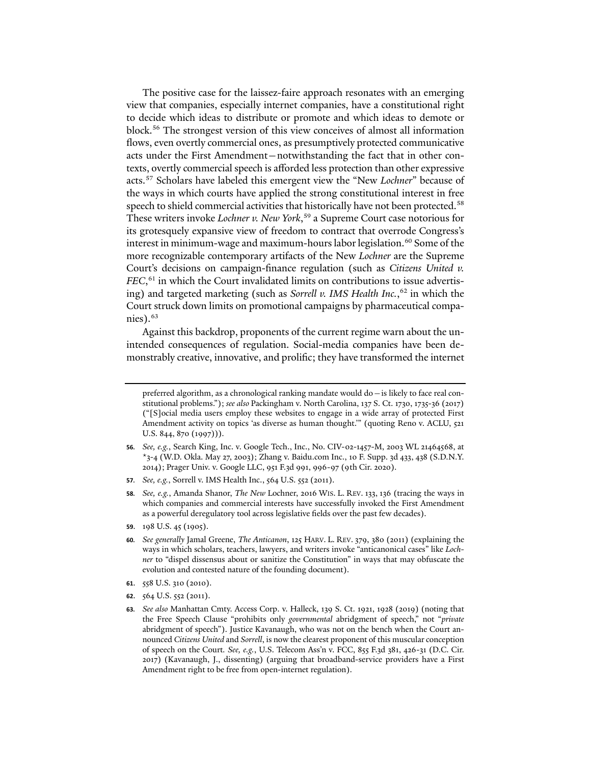The positive case for the laissez-faire approach resonates with an emerging view that companies, especially internet companies, have a constitutional right to decide which ideas to distribute or promote and which ideas to demote or block.[56](#page-11-0) The strongest version of this view conceives of almost all information flows, even overtly commercial ones, as presumptively protected communicative acts under the First Amendment—notwithstanding the fact that in other contexts, overtly commercial speech is afforded less protection than other expressive acts.[57](#page-11-1) Scholars have labeled this emergent view the "New *Lochner*" because of the ways in which courts have applied the strong constitutional interest in free speech to shield commercial activities that historically have not been protected.<sup>[58](#page-11-2)</sup> These writers invoke *Lochner v. New York*, [59](#page-11-3) a Supreme Court case notorious for its grotesquely expansive view of freedom to contract that overrode Congress's interest in minimum-wage and maximum-hours labor legislation.<sup>[60](#page-11-4)</sup> Some of the more recognizable contemporary artifacts of the New *Lochner* are the Supreme Court's decisions on campaign-finance regulation (such as *Citizens United v. FEC*, [61](#page-11-5) in which the Court invalidated limits on contributions to issue advertising) and targeted marketing (such as *Sorrell v. IMS Health Inc.*, [62](#page-11-6) in which the Court struck down limits on promotional campaigns by pharmaceutical companies). $63$ 

Against this backdrop, proponents of the current regime warn about the unintended consequences of regulation. Social-media companies have been demonstrably creative, innovative, and prolific; they have transformed the internet

- <span id="page-11-1"></span>**57***. See, e.g.*, Sorrell v. IMS Health Inc., 564 U.S. 552 (2011).
- <span id="page-11-2"></span>**58***. See, e.g.*, Amanda Shanor, *The New* Lochner, 2016 WIS. L. REV. 133, 136 (tracing the ways in which companies and commercial interests have successfully invoked the First Amendment as a powerful deregulatory tool across legislative fields over the past few decades).
- <span id="page-11-3"></span>**59**. 198 U.S. 45 (1905).
- <span id="page-11-4"></span>**60***. See generally* Jamal Greene, *The Anticanon*, 125 HARV. L. REV. 379, 380 (2011) (explaining the ways in which scholars, teachers, lawyers, and writers invoke "anticanonical cases" like *Lochner* to "dispel dissensus about or sanitize the Constitution" in ways that may obfuscate the evolution and contested nature of the founding document).
- <span id="page-11-5"></span>**61**. 558 U.S. 310 (2010).
- <span id="page-11-6"></span>**62**. 564 U.S. 552 (2011).

preferred algorithm, as a chronological ranking mandate would do—is likely to face real constitutional problems."); *see also* Packingham v. North Carolina, 137 S. Ct. 1730, 1735-36 (2017) ("[S]ocial media users employ these websites to engage in a wide array of protected First Amendment activity on topics 'as diverse as human thought.'" (quoting Reno v. ACLU, 521 U.S. 844, 870 (1997))).

<span id="page-11-0"></span>**<sup>56</sup>***. See, e.g.*, Search King, Inc. v. Google Tech., Inc., No. CIV-02-1457-M, 2003 WL 21464568, at \*3-4 (W.D. Okla. May 27, 2003); Zhang v. Baidu.com Inc., 10 F. Supp. 3d 433, 438 (S.D.N.Y. 2014); Prager Univ. v. Google LLC, 951 F.3d 991, 996-97 (9th Cir. 2020).

<span id="page-11-7"></span>**<sup>63</sup>***. See also* Manhattan Cmty. Access Corp. v. Halleck, 139 S. Ct. 1921, 1928 (2019) (noting that the Free Speech Clause "prohibits only *governmental* abridgment of speech," not "*private* abridgment of speech"). Justice Kavanaugh, who was not on the bench when the Court announced *Citizens United* and *Sorrell*, is now the clearest proponent of this muscular conception of speech on the Court*. See, e.g.*, U.S. Telecom Ass'n v. FCC, 855 F.3d 381, 426-31 (D.C. Cir. 2017) (Kavanaugh, J., dissenting) (arguing that broadband-service providers have a First Amendment right to be free from open-internet regulation).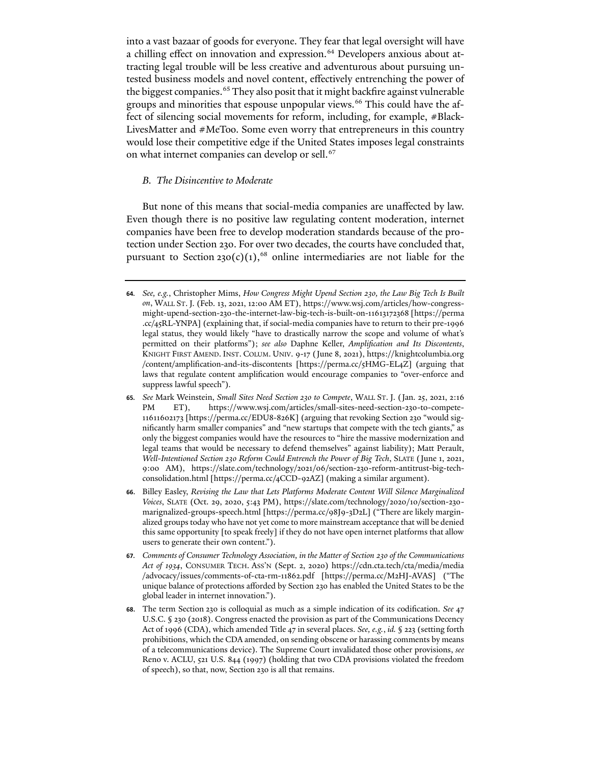into a vast bazaar of goods for everyone. They fear that legal oversight will have a chilling effect on innovation and expression.<sup>[64](#page-12-0)</sup> Developers anxious about attracting legal trouble will be less creative and adventurous about pursuing untested business models and novel content, effectively entrenching the power of the biggest companies.<sup>[65](#page-12-1)</sup> They also posit that it might backfire against vulnerable groups and minorities that espouse unpopular views.<sup>[66](#page-12-2)</sup> This could have the affect of silencing social movements for reform, including, for example, #Black-LivesMatter and #MeToo. Some even worry that entrepreneurs in this country would lose their competitive edge if the United States imposes legal constraints on what internet companies can develop or sell.<sup>[67](#page-12-3)</sup>

## *B. The Disincentive to Moderate*

But none of this means that social-media companies are unaffected by law. Even though there is no positive law regulating content moderation, internet companies have been free to develop moderation standards because of the protection under Section 230. For over two decades, the courts have concluded that, pursuant to Section  $230(c)(1)$ ,<sup>[68](#page-12-4)</sup> online intermediaries are not liable for the

- <span id="page-12-3"></span>**67***. Comments of Consumer Technology Association, in the Matter of Section 230 of the Communications Act of 1934*, CONSUMER TECH. ASS'N (Sept. 2, 2020) https://cdn.cta.tech/cta/media/media /advocacy/issues/comments-of-cta-rm-11862.pdf [https://perma.cc/M2HJ-AVAS] ("The unique balance of protections afforded by Section 230 has enabled the United States to be the global leader in internet innovation.").
- <span id="page-12-4"></span>**68**. The term Section 230 is colloquial as much as a simple indication of its codification. *See* 47 U.S.C. § 230 (2018). Congress enacted the provision as part of the Communications Decency Act of 1996 (CDA), which amended Title 47 in several places. *See, e.g.*, *id.* § 223 (setting forth prohibitions, which the CDA amended, on sending obscene or harassing comments by means of a telecommunications device). The Supreme Court invalidated those other provisions, *see* Reno v. ACLU, 521 U.S. 844 (1997) (holding that two CDA provisions violated the freedom of speech), so that, now, Section 230 is all that remains.

<span id="page-12-0"></span>**<sup>64</sup>***. See, e.g.*, Christopher Mims, *How Congress Might Upend Section 230, the Law Big Tech Is Built on*, WALL ST. J. (Feb. 13, 2021, 12:00 AM ET), https://www.wsj.com/articles/how-congressmight-upend-section-230-the-internet-law-big-tech-is-built-on-11613172368 [https://perma .cc/45RL-YNPA] (explaining that, if social-media companies have to return to their pre-1996 legal status, they would likely "have to drastically narrow the scope and volume of what's permitted on their platforms"); *see also* Daphne Keller, *Amplification and Its Discontents*, KNIGHT FIRST AMEND. INST. COLUM. UNIV. 9-17 (June 8, 2021), https://knightcolumbia.org /content/amplification-and-its-discontents [https://perma.cc/5HMG-EL4Z] (arguing that laws that regulate content amplification would encourage companies to "over-enforce and suppress lawful speech").

<span id="page-12-1"></span>**<sup>65</sup>***. See* Mark Weinstein, *Small Sites Need Section 230 to Compete*, WALL ST. J. (Jan. 25, 2021, 2:16 PM ET), https://www.wsj.com/articles/small-sites-need-section-230-to-compete-11611602173 [https://perma.cc/EDU8-826K] (arguing that revoking Section 230 "would significantly harm smaller companies" and "new startups that compete with the tech giants," as only the biggest companies would have the resources to "hire the massive modernization and legal teams that would be necessary to defend themselves" against liability); Matt Perault, *Well-Intentioned Section 230 Reform Could Entrench the Power of Big Tech*, SLATE (June 1, 2021, 9:00 AM), https://slate.com/technology/2021/06/section-230-reform-antitrust-big-techconsolidation.html [https://perma.cc/4CCD-92AZ] (making a similar argument).

<span id="page-12-2"></span>**<sup>66</sup>**. Billey Easley, *Revising the Law that Lets Platforms Moderate Content Will Silence Marginalized Voices*, SLATE (Oct. 29, 2020, 5:43 PM), https://slate.com/technology/2020/10/section-230 marignalized-groups-speech.html [https://perma.cc/98J9-3D2L] ("There are likely marginalized groups today who have not yet come to more mainstream acceptance that will be denied this same opportunity [to speak freely] if they do not have open internet platforms that allow users to generate their own content.").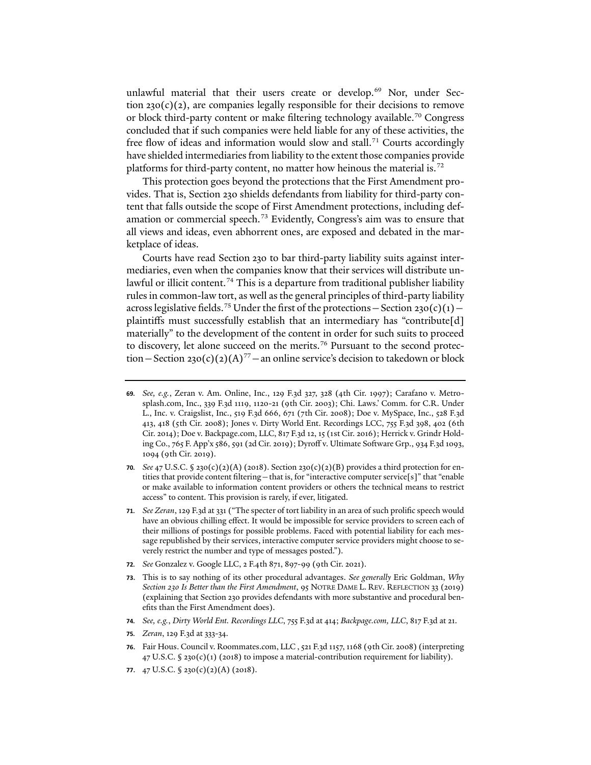unlawful material that their users create or develop.<sup>[69](#page-13-0)</sup> Nor, under Section  $230(c)(2)$ , are companies legally responsible for their decisions to remove or block third-party content or make filtering technology available.<sup>[70](#page-13-1)</sup> Congress concluded that if such companies were held liable for any of these activities, the free flow of ideas and information would slow and stall.<sup>[71](#page-13-2)</sup> Courts accordingly have shielded intermediaries from liability to the extent those companies provide platforms for third-party content, no matter how heinous the material is.[72](#page-13-3)

<span id="page-13-9"></span>This protection goes beyond the protections that the First Amendment provides. That is, Section 230 shields defendants from liability for third-party content that falls outside the scope of First Amendment protections, including defamation or commercial speech.[73](#page-13-4) Evidently, Congress's aim was to ensure that all views and ideas, even abhorrent ones, are exposed and debated in the marketplace of ideas.

Courts have read Section 230 to bar third-party liability suits against intermediaries, even when the companies know that their services will distribute un-lawful or illicit content.<sup>[74](#page-13-5)</sup> This is a departure from traditional publisher liability rules in common-law tort, as well as the general principles of third-party liability across legislative fields.<sup>[75](#page-13-6)</sup> Under the first of the protections - Section 230(c)(1) plaintiffs must successfully establish that an intermediary has "contribute[d] materially" to the development of the content in order for such suits to proceed to discovery, let alone succeed on the merits.<sup>[76](#page-13-7)</sup> Pursuant to the second protec-tion – Section 230(c)(2)(A)<sup>[77](#page-13-8)</sup> – an online service's decision to takedown or block

- <span id="page-13-1"></span>**70***. See* 47 U.S.C. § 230(c)(2)(A) (2018). Section 230(c)(2)(B) provides a third protection for entities that provide content filtering—that is, for "interactive computer service[s]" that "enable or make available to information content providers or others the technical means to restrict access" to content. This provision is rarely, if ever, litigated.
- <span id="page-13-2"></span>**71***. See Zeran*, 129 F.3d at 331 ("The specter of tort liability in an area of such prolific speech would have an obvious chilling effect. It would be impossible for service providers to screen each of their millions of postings for possible problems. Faced with potential liability for each message republished by their services, interactive computer service providers might choose to severely restrict the number and type of messages posted.").
- <span id="page-13-3"></span>**72***. See* Gonzalez v. Google LLC, 2 F.4th 871, 897-99 (9th Cir. 2021).
- <span id="page-13-4"></span>**73**. This is to say nothing of its other procedural advantages. *See generally* Eric Goldman, *Why Section 230 Is Better than the First Amendment*, 95 NOTRE DAME L. REV. REFLECTION 33 (2019) (explaining that Section 230 provides defendants with more substantive and procedural benefits than the First Amendment does).
- <span id="page-13-5"></span>**74***. See, e.g.*, *Dirty World Ent. Recordings LLC*, 755 F.3d at 414; *Backpage.com, LLC*, 817 F.3d at 21.
- <span id="page-13-6"></span>**75***. Zeran*, 129 F.3d at 333-34.
- <span id="page-13-7"></span>**76**. Fair Hous. Council v. Roommates.com, LLC , 521 F.3d 1157, 1168 (9th Cir. 2008) (interpreting  $47$  U.S.C. § 230(c)(1) (2018) to impose a material-contribution requirement for liability).
- <span id="page-13-8"></span>**77**. 47 U.S.C. § 230(c)(2)(A) (2018).

<span id="page-13-0"></span>**<sup>69</sup>***. See, e.g.*, Zeran v. Am. Online, Inc., 129 F.3d 327, 328 (4th Cir. 1997); Carafano v. Metrosplash.com, Inc., 339 F.3d 1119, 1120-21 (9th Cir. 2003); Chi. Laws.' Comm. for C.R. Under L., Inc. v. Craigslist, Inc., 519 F.3d 666, 671 (7th Cir. 2008); Doe v. MySpace, Inc., 528 F.3d 413, 418 (5th Cir. 2008); Jones v. Dirty World Ent. Recordings LCC, 755 F.3d 398, 402 (6th Cir. 2014); Doe v. Backpage.com, LLC, 817 F.3d 12, 15 (1st Cir. 2016); Herrick v. Grindr Holding Co., 765 F. App'x 586, 591 (2d Cir. 2019); Dyroff v. Ultimate So�ware Grp., 934 F.3d 1093, 1094 (9th Cir. 2019).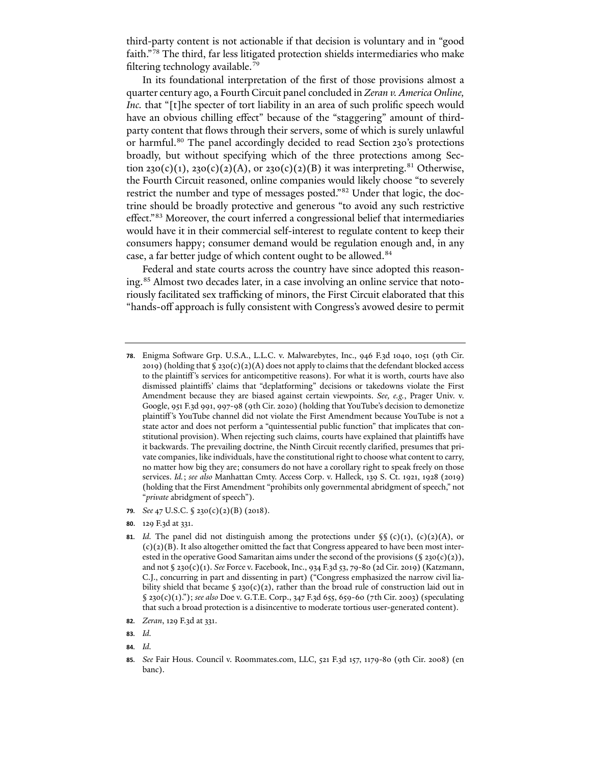third-party content is not actionable if that decision is voluntary and in "good faith."[78](#page-14-0) The third, far less litigated protection shields intermediaries who make filtering technology available.[79](#page-14-1)

In its foundational interpretation of the first of those provisions almost a quarter century ago, a Fourth Circuit panel concluded in *Zeran v. America Online, Inc.* that "[t]he specter of tort liability in an area of such prolific speech would have an obvious chilling effect" because of the "staggering" amount of thirdparty content that flows through their servers, some of which is surely unlawful or harmful.<sup>[80](#page-14-2)</sup> The panel accordingly decided to read Section 230's protections broadly, but without specifying which of the three protections among Sec-tion 230(c)(1), 230(c)(2)(A), or 230(c)(2)(B) it was interpreting.<sup>[81](#page-14-3)</sup> Otherwise, the Fourth Circuit reasoned, online companies would likely choose "to severely restrict the number and type of messages posted."[82](#page-14-4) Under that logic, the doctrine should be broadly protective and generous "to avoid any such restrictive effect."[83](#page-14-5) Moreover, the court inferred a congressional belief that intermediaries would have it in their commercial self-interest to regulate content to keep their consumers happy; consumer demand would be regulation enough and, in any case, a far better judge of which content ought to be allowed.<sup>[84](#page-14-6)</sup>

Federal and state courts across the country have since adopted this reason-ing.<sup>[85](#page-14-7)</sup> Almost two decades later, in a case involving an online service that notoriously facilitated sex trafficking of minors, the First Circuit elaborated that this "hands-off approach is fully consistent with Congress's avowed desire to permit

<span id="page-14-1"></span>**79***. See* 47 U.S.C. § 230(c)(2)(B) (2018).

- <span id="page-14-4"></span>**82***. Zeran*, 129 F.3d at 331.
- <span id="page-14-5"></span>**83***. Id.*
- <span id="page-14-6"></span>**84***. Id.*

<span id="page-14-0"></span><sup>78.</sup> Enigma Software Grp. U.S.A., L.L.C. v. Malwarebytes, Inc., 946 F.3d 1040, 1051 (9th Cir. 2019) (holding that  $\S 230(c)(2)(A)$  does not apply to claims that the defendant blocked access to the plaintiff's services for anticompetitive reasons). For what it is worth, courts have also dismissed plaintiffs' claims that "deplatforming" decisions or takedowns violate the First Amendment because they are biased against certain viewpoints. *See, e.g.*, Prager Univ. v. Google, 951 F.3d 991, 997-98 (9th Cir. 2020) (holding that YouTube's decision to demonetize plaintiff's YouTube channel did not violate the First Amendment because YouTube is not a state actor and does not perform a "quintessential public function" that implicates that constitutional provision). When rejecting such claims, courts have explained that plaintiffs have it backwards. The prevailing doctrine, the Ninth Circuit recently clarified, presumes that private companies, like individuals, have the constitutional right to choose what content to carry, no matter how big they are; consumers do not have a corollary right to speak freely on those services. *Id.*; *see also* Manhattan Cmty. Access Corp. v. Halleck, 139 S. Ct. 1921, 1928 (2019) (holding that the First Amendment "prohibits only governmental abridgment of speech," not "*private* abridgment of speech").

<span id="page-14-2"></span>**<sup>80</sup>**. 129 F.3d at 331.

<span id="page-14-3"></span>**<sup>81</sup>***. Id.* The panel did not distinguish among the protections under  $\S(\c)$ (1), (c)(2)(A), or (c)(2)(B). It also altogether omitted the fact that Congress appeared to have been most interested in the operative Good Samaritan aims under the second of the provisions (§ 230(c)(2)), and not § 230(c)(1). *See* Force v. Facebook, Inc., 934 F.3d 53, 79-80 (2d Cir. 2019) (Katzmann, C.J., concurring in part and dissenting in part) ("Congress emphasized the narrow civil liability shield that became  $\S 230(c)(2)$ , rather than the broad rule of construction laid out in § 230(c)(1)."); *see also* Doe v. G.T.E. Corp., 347 F.3d 655, 659-60 (7th Cir. 2003) (speculating that such a broad protection is a disincentive to moderate tortious user-generated content).

<span id="page-14-7"></span>**<sup>85</sup>***. See* Fair Hous. Council v. Roommates.com, LLC, 521 F.3d 157, 1179-80 (9th Cir. 2008) (en banc).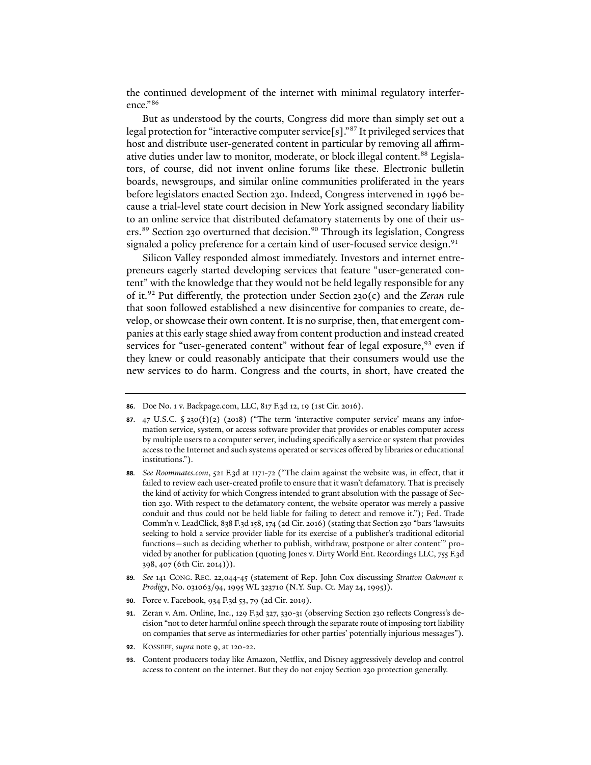the continued development of the internet with minimal regulatory interference."[86](#page-15-0)

But as understood by the courts, Congress did more than simply set out a legal protection for "interactive computer service[s]."[87](#page-15-1) It privileged services that host and distribute user-generated content in particular by removing all affirm-ative duties under law to monitor, moderate, or block illegal content.<sup>[88](#page-15-2)</sup> Legislators, of course, did not invent online forums like these. Electronic bulletin boards, newsgroups, and similar online communities proliferated in the years before legislators enacted Section 230. Indeed, Congress intervened in 1996 because a trial-level state court decision in New York assigned secondary liability to an online service that distributed defamatory statements by one of their us-ers.<sup>[89](#page-15-3)</sup> Section 230 overturned that decision.<sup>[90](#page-15-4)</sup> Through its legislation, Congress signaled a policy preference for a certain kind of user-focused service design.<sup>[91](#page-15-5)</sup>

Silicon Valley responded almost immediately. Investors and internet entrepreneurs eagerly started developing services that feature "user-generated content" with the knowledge that they would not be held legally responsible for any of it.[92](#page-15-6) Put differently, the protection under Section 230(c) and the *Zeran* rule that soon followed established a new disincentive for companies to create, develop, or showcase their own content. It is no surprise, then, that emergent companies at this early stage shied away from content production and instead created services for "user-generated content" without fear of legal exposure, <sup>[93](#page-15-7)</sup> even if they knew or could reasonably anticipate that their consumers would use the new services to do harm. Congress and the courts, in short, have created the

- <span id="page-15-6"></span>**92**. KOSSEFF, *supra* note [9,](#page-1-6) at 120-22.
- <span id="page-15-7"></span>**93**. Content producers today like Amazon, Netflix, and Disney aggressively develop and control access to content on the internet. But they do not enjoy Section 230 protection generally.

<span id="page-15-0"></span>**<sup>86</sup>**. Doe No. 1 v. Backpage.com, LLC, 817 F.3d 12, 19 (1st Cir. 2016).

<span id="page-15-1"></span>**<sup>87</sup>**. 47 U.S.C. § 230(f)(2) (2018) ("The term 'interactive computer service' means any information service, system, or access software provider that provides or enables computer access by multiple users to a computer server, including specifically a service or system that provides access to the Internet and such systems operated or services offered by libraries or educational institutions.").

<span id="page-15-2"></span>**<sup>88</sup>***. See Roommates.com*, 521 F.3d at 1171-72 ("The claim against the website was, in effect, that it failed to review each user-created profile to ensure that it wasn't defamatory. That is precisely the kind of activity for which Congress intended to grant absolution with the passage of Section 230. With respect to the defamatory content, the website operator was merely a passive conduit and thus could not be held liable for failing to detect and remove it."); Fed. Trade Comm'n v. LeadClick, 838 F.3d 158, 174 (2d Cir. 2016) (stating that Section 230 "bars 'lawsuits seeking to hold a service provider liable for its exercise of a publisher's traditional editorial functions—such as deciding whether to publish, withdraw, postpone or alter content'" provided by another for publication (quoting Jones v. Dirty World Ent. Recordings LLC, 755 F.3d 398, 407 (6th Cir. 2014))).

<span id="page-15-3"></span>**<sup>89</sup>***. See* 141 CONG. REC. 22,044-45 (statement of Rep. John Cox discussing *Stratton Oakmont v. Prodigy*, No. 031063/94, 1995 WL 323710 (N.Y. Sup. Ct. May 24, 1995)).

<span id="page-15-4"></span>**<sup>90</sup>**. Force v. Facebook, 934 F.3d 53, 79 (2d Cir. 2019).

<span id="page-15-5"></span>**<sup>91</sup>**. Zeran v. Am. Online, Inc., 129 F.3d 327, 330-31 (observing Section 230 reflects Congress's decision "not to deter harmful online speech through the separate route of imposing tort liability on companies that serve as intermediaries for other parties' potentially injurious messages").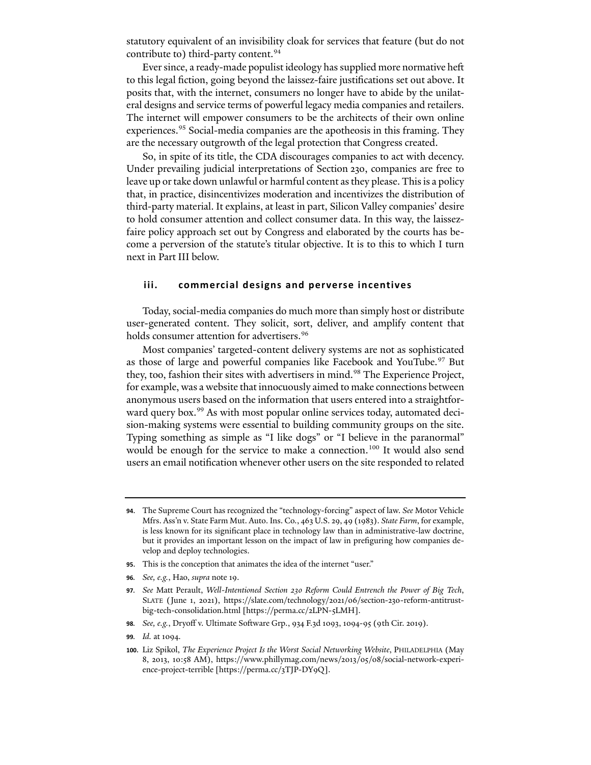statutory equivalent of an invisibility cloak for services that feature (but do not contribute to) third-party content.<sup>[94](#page-16-1)</sup>

Ever since, a ready-made populist ideology has supplied more normative heft to this legal fiction, going beyond the laissez-faire justifications set out above. It posits that, with the internet, consumers no longer have to abide by the unilateral designs and service terms of powerful legacy media companies and retailers. The internet will empower consumers to be the architects of their own online experiences.<sup>[95](#page-16-2)</sup> Social-media companies are the apotheosis in this framing. They are the necessary outgrowth of the legal protection that Congress created.

So, in spite of its title, the CDA discourages companies to act with decency. Under prevailing judicial interpretations of Section 230, companies are free to leave up or take down unlawful or harmful content as they please. This is a policy that, in practice, disincentivizes moderation and incentivizes the distribution of third-party material. It explains, at least in part, Silicon Valley companies' desire to hold consumer attention and collect consumer data. In this way, the laissezfaire policy approach set out by Congress and elaborated by the courts has become a perversion of the statute's titular objective. It is to this to which I turn next in Part III below.

#### <span id="page-16-0"></span>**iii. commercial designs and perverse incentives**

Today, social-media companies do much more than simply host or distribute user-generated content. They solicit, sort, deliver, and amplify content that holds consumer attention for advertisers.<sup>[96](#page-16-3)</sup>

Most companies' targeted-content delivery systems are not as sophisticated as those of large and powerful companies like Facebook and YouTube.<sup>[97](#page-16-4)</sup> But they, too, fashion their sites with advertisers in mind.<sup>[98](#page-16-5)</sup> The Experience Project, for example, was a website that innocuously aimed to make connections between anonymous users based on the information that users entered into a straightfor-ward query box.<sup>[99](#page-16-6)</sup> As with most popular online services today, automated decision-making systems were essential to building community groups on the site. Typing something as simple as "I like dogs" or "I believe in the paranormal" would be enough for the service to make a connection.<sup>[100](#page-16-7)</sup> It would also send users an email notification whenever other users on the site responded to related

- <span id="page-16-2"></span>**95**. This is the conception that animates the idea of the internet "user."
- <span id="page-16-3"></span>**96***. See, e.g.*, Hao, *supra* not[e 19.](#page-4-6)

- <span id="page-16-5"></span>**98***. See, e.g.*, Dryoff v. Ultimate So�ware Grp., 934 F.3d 1093, 1094-95 (9th Cir. 2019).
- <span id="page-16-6"></span>**99***. Id.* at 1094.

<span id="page-16-1"></span>**<sup>94</sup>**. The Supreme Court has recognized the "technology-forcing" aspect of law. *See* Motor Vehicle Mfrs. Ass'n v. State Farm Mut. Auto. Ins. Co., 463 U.S. 29, 49 (1983). *State Farm*, for example, is less known for its significant place in technology law than in administrative-law doctrine, but it provides an important lesson on the impact of law in prefiguring how companies develop and deploy technologies.

<span id="page-16-4"></span>**<sup>97</sup>***. See* Matt Perault, *Well-Intentioned Section 230 Reform Could Entrench the Power of Big Tech*, SLATE (June 1, 2021), https://slate.com/technology/2021/06/section-230-reform-antitrustbig-tech-consolidation.html [https://perma.cc/2LPN-5LMH].

<span id="page-16-7"></span>**<sup>100</sup>**. Liz Spikol, *The Experience Project Is the Worst Social Networking Website*, PHILADELPHIA (May 8, 2013, 10:58 AM), https://www.phillymag.com/news/2013/05/08/social-network-experience-project-terrible [https://perma.cc/3TJP-DY9Q].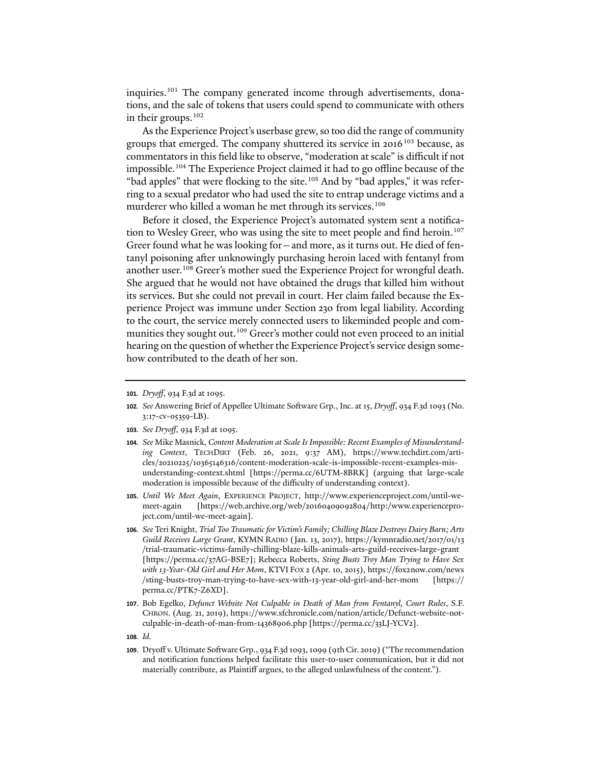inquiries.<sup>[101](#page-17-0)</sup> The company generated income through advertisements, donations, and the sale of tokens that users could spend to communicate with others in their groups.<sup>[102](#page-17-1)</sup>

As the Experience Project's userbase grew, so too did the range of community groups that emerged. The company shuttered its service in 2016<sup>[103](#page-17-2)</sup> because, as commentators in this field like to observe, "moderation at scale" is difficult if not impossible.<sup>[104](#page-17-3)</sup> The Experience Project claimed it had to go offline because of the "bad apples" that were flocking to the site.<sup>[105](#page-17-4)</sup> And by "bad apples," it was referring to a sexual predator who had used the site to entrap underage victims and a murderer who killed a woman he met through its services.<sup>[106](#page-17-5)</sup>

Before it closed, the Experience Project's automated system sent a notifica-tion to Wesley Greer, who was using the site to meet people and find heroin.<sup>[107](#page-17-6)</sup> Greer found what he was looking for—and more, as it turns out. He died of fentanyl poisoning a�er unknowingly purchasing heroin laced with fentanyl from another user.<sup>[108](#page-17-7)</sup> Greer's mother sued the Experience Project for wrongful death. She argued that he would not have obtained the drugs that killed him without its services. But she could not prevail in court. Her claim failed because the Experience Project was immune under Section 230 from legal liability. According to the court, the service merely connected users to likeminded people and com-munities they sought out.<sup>[109](#page-17-8)</sup> Greer's mother could not even proceed to an initial hearing on the question of whether the Experience Project's service design somehow contributed to the death of her son.

- <span id="page-17-1"></span>**102***. See* Answering Brief of Appellee Ultimate So�ware Grp., Inc. at 15, *Dryoff*, 934 F.3d 1093 (No. 3:17-cv-05359-LB).
- <span id="page-17-2"></span>**103***. See Dryoff*, 934 F.3d at 1095.
- <span id="page-17-3"></span>**104***. See* Mike Masnick, *Content Moderation at Scale Is Impossible: Recent Examples of Misunderstanding Context*, TECHDIRT (Feb. 26, 2021, 9:37 AM), https://www.techdirt.com/articles/20210225/10365146316/content-moderation-scale-is-impossible-recent-examples-misunderstanding-context.shtml [https://perma.cc/6UTM-8BRK] (arguing that large-scale moderation is impossible because of the difficulty of understanding context).
- <span id="page-17-4"></span>**105***. Until We Meet Again*, EXPERIENCE PROJECT, http://www.experienceproject.com/until-wemeet-again [https://web.archive.org/web/20160409092804/http:/www.experienceproject.com/until-we-meet-again].
- <span id="page-17-5"></span>**106***. See* Teri Knight, *Trial Too Traumatic for Victim's Family; Chilling Blaze Destroys Dairy Barn; Arts Guild Receives Large Grant*, KYMN RADIO (Jan. 13, 2017), https://kymnradio.net/2017/01/13 /trial-traumatic-victims-family-chilling-blaze-kills-animals-arts-guild-receives-large-grant [https://perma.cc/37AG-BSE7]; Rebecca Roberts, *Sting Busts Troy Man Trying to Have Sex with 13-Year-Old Girl and Her Mom*, KTVI FOX 2 (Apr. 10, 2015), https://fox2now.com/news /sting-busts-troy-man-trying-to-have-sex-with-13-year-old-girl-and-her-mom [https:// perma.cc/PTK7-Z6XD].
- <span id="page-17-6"></span>**107**. Bob Egelko, *Defunct Website Not Culpable in Death of Man from Fentanyl, Court Rules*, S.F. CHRON. (Aug. 21, 2019), https://www.sfchronicle.com/nation/article/Defunct-website-notculpable-in-death-of-man-from-14368906.php [https://perma.cc/33LJ-YCV2].
- <span id="page-17-7"></span>**108***. Id.*
- <span id="page-17-8"></span>**109**. Dryoff v. Ultimate So�ware Grp., 934 F.3d 1093, 1099 (9th Cir. 2019) ("The recommendation and notification functions helped facilitate this user-to-user communication, but it did not materially contribute, as Plaintiff argues, to the alleged unlawfulness of the content.").

<span id="page-17-0"></span>**<sup>101</sup>***. Dryoff*, 934 F.3d at 1095.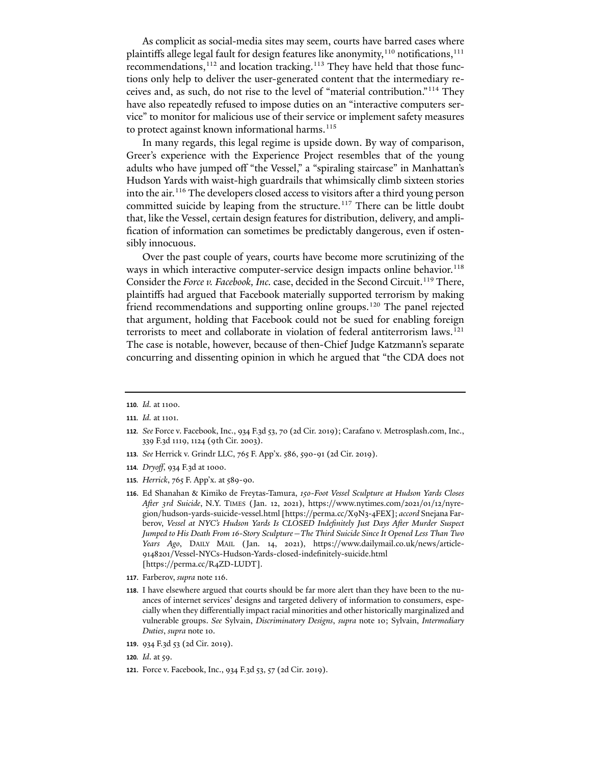As complicit as social-media sites may seem, courts have barred cases where plaintiffs allege legal fault for design features like anonymity, $110$  notifications, $111$ recommendations,<sup>[112](#page-18-3)</sup> and location tracking.<sup>[113](#page-18-4)</sup> They have held that those functions only help to deliver the user-generated content that the intermediary receives and, as such, do not rise to the level of "material contribution."[114](#page-18-5) They have also repeatedly refused to impose duties on an "interactive computers service" to monitor for malicious use of their service or implement safety measures to protect against known informational harms.<sup>[115](#page-18-6)</sup>

<span id="page-18-0"></span>In many regards, this legal regime is upside down. By way of comparison, Greer's experience with the Experience Project resembles that of the young adults who have jumped off "the Vessel," a "spiraling staircase" in Manhattan's Hudson Yards with waist-high guardrails that whimsically climb sixteen stories into the air.<sup>[116](#page-18-7)</sup> The developers closed access to visitors after a third young person committed suicide by leaping from the structure.<sup>[117](#page-18-8)</sup> There can be little doubt that, like the Vessel, certain design features for distribution, delivery, and amplification of information can sometimes be predictably dangerous, even if ostensibly innocuous.

Over the past couple of years, courts have become more scrutinizing of the ways in which interactive computer-service design impacts online behavior.<sup>[118](#page-18-9)</sup> Consider the *Force v. Facebook, Inc.* case, decided in the Second Circuit.<sup>119</sup> There, plaintiffs had argued that Facebook materially supported terrorism by making friend recommendations and supporting online groups.<sup>[120](#page-18-11)</sup> The panel rejected that argument, holding that Facebook could not be sued for enabling foreign terrorists to meet and collaborate in violation of federal antiterrorism laws.<sup>[121](#page-18-12)</sup> The case is notable, however, because of then-Chief Judge Katzmann's separate concurring and dissenting opinion in which he argued that "the CDA does not

- <span id="page-18-4"></span>**113***. See* Herrick v. Grindr LLC, 765 F. App'x. 586, 590-91 (2d Cir. 2019).
- <span id="page-18-5"></span>**114***. Dryoff*, 934 F.3d at 1000.
- <span id="page-18-6"></span>**115***. Herrick*, 765 F. App'x. at 589-90.
- <span id="page-18-7"></span>**116**. Ed Shanahan & Kimiko de Freytas-Tamura, *150-Foot Vessel Sculpture at Hudson Yards Closes A�er 3rd Suicide*, N.Y. TIMES (Jan. 12, 2021), https://www.nytimes.com/2021/01/12/nyregion/hudson-yards-suicide-vessel.html [https://perma.cc/X9N3-4FEX]; *accord* Snejana Farberov, *Vessel at NYC's Hudson Yards Is CLOSED Indefinitely Just Days A�er Murder Suspect Jumped to His Death From 16-Story Sculpture—The Third Suicide Since It Opened Less Than Two Years Ago*, DAILY MAIL (Jan. 14, 2021), https://www.dailymail.co.uk/news/article-9148201/Vessel-NYCs-Hudson-Yards-closed-indefinitely-suicide.html [https://perma.cc/R4ZD-LUDT].
- <span id="page-18-8"></span>**117**. Farberov, *supra* not[e 116.](#page-18-0)
- <span id="page-18-9"></span>**118**. I have elsewhere argued that courts should be far more alert than they have been to the nuances of internet services' designs and targeted delivery of information to consumers, especially when they differentially impact racial minorities and other historically marginalized and vulnerable groups. *See* Sylvain, *Discriminatory Designs*, *supra* note [10;](#page-1-7) Sylvain, *Intermediary Duties*, *supra* not[e 10.](#page-1-7)
- <span id="page-18-10"></span>**119**. 934 F.3d 53 (2d Cir. 2019).
- <span id="page-18-11"></span>**120***. Id*. at 59.
- <span id="page-18-12"></span>**121**. Force v. Facebook, Inc., 934 F.3d 53, 57 (2d Cir. 2019).

<span id="page-18-1"></span>**<sup>110</sup>***. Id.* at 1100.

<span id="page-18-2"></span>**<sup>111</sup>***. Id.* at 1101.

<span id="page-18-3"></span>**<sup>112</sup>***. See* Force v. Facebook, Inc., 934 F.3d 53, 70 (2d Cir. 2019); Carafano v. Metrosplash.com, Inc., 339 F.3d 1119, 1124 (9th Cir. 2003).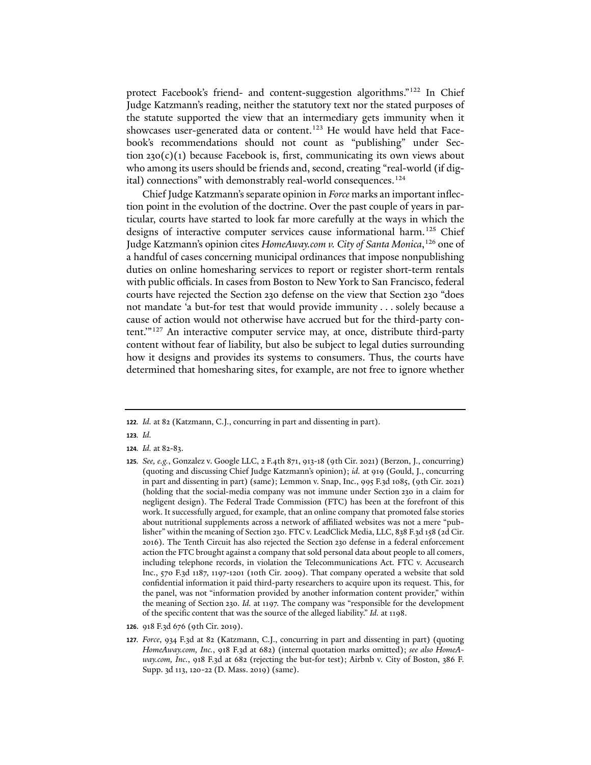protect Facebook's friend- and content-suggestion algorithms."[122](#page-19-0) In Chief Judge Katzmann's reading, neither the statutory text nor the stated purposes of the statute supported the view that an intermediary gets immunity when it showcases user-generated data or content.<sup>[123](#page-19-1)</sup> He would have held that Facebook's recommendations should not count as "publishing" under Section  $230(c)(1)$  because Facebook is, first, communicating its own views about who among its users should be friends and, second, creating "real-world (if dig-ital) connections" with demonstrably real-world consequences.<sup>[124](#page-19-2)</sup>

Chief Judge Katzmann's separate opinion in *Force* marks an important inflection point in the evolution of the doctrine. Over the past couple of years in particular, courts have started to look far more carefully at the ways in which the designs of interactive computer services cause informational harm.<sup>[125](#page-19-3)</sup> Chief Judge Katzmann's opinion cites *HomeAway.com v. City of Santa Monica*, [126](#page-19-4) one of a handful of cases concerning municipal ordinances that impose nonpublishing duties on online homesharing services to report or register short-term rentals with public officials. In cases from Boston to New York to San Francisco, federal courts have rejected the Section 230 defense on the view that Section 230 "does not mandate 'a but-for test that would provide immunity . . . solely because a cause of action would not otherwise have accrued but for the third-party content.'"[127](#page-19-5) An interactive computer service may, at once, distribute third-party content without fear of liability, but also be subject to legal duties surrounding how it designs and provides its systems to consumers. Thus, the courts have determined that homesharing sites, for example, are not free to ignore whether

- <span id="page-19-1"></span>**123***. Id.*
- <span id="page-19-2"></span>**124***. Id.* at 82-83.

- <span id="page-19-4"></span>**126**. 918 F.3d 676 (9th Cir. 2019).
- <span id="page-19-5"></span>**127***. Force*, 934 F.3d at 82 (Katzmann, C.J., concurring in part and dissenting in part) (quoting *HomeAway.com, Inc.*, 918 F.3d at 682) (internal quotation marks omitted); *see also HomeAway.com, Inc.*, 918 F.3d at 682 (rejecting the but-for test); Airbnb v. City of Boston, 386 F. Supp. 3d 113, 120-22 (D. Mass. 2019) (same).

<span id="page-19-0"></span>**<sup>122</sup>***. Id.* at 82 (Katzmann, C.J., concurring in part and dissenting in part).

<span id="page-19-3"></span>**<sup>125</sup>***. See, e.g.*, Gonzalez v. Google LLC, 2 F.4th 871, 913-18 (9th Cir. 2021) (Berzon, J., concurring) (quoting and discussing Chief Judge Katzmann's opinion); *id.* at 919 (Gould, J., concurring in part and dissenting in part) (same); Lemmon v. Snap, Inc., 995 F.3d 1085, (9th Cir. 2021) (holding that the social-media company was not immune under Section 230 in a claim for negligent design). The Federal Trade Commission (FTC) has been at the forefront of this work. It successfully argued, for example, that an online company that promoted false stories about nutritional supplements across a network of affiliated websites was not a mere "publisher" within the meaning of Section 230. FTC v. LeadClick Media, LLC, 838 F.3d 158 (2d Cir. 2016). The Tenth Circuit has also rejected the Section 230 defense in a federal enforcement action the FTC brought against a company that sold personal data about people to all comers, including telephone records, in violation the Telecommunications Act. FTC v. Accusearch Inc., 570 F.3d 1187, 1197-1201 (10th Cir. 2009). That company operated a website that sold confidential information it paid third-party researchers to acquire upon its request. This, for the panel, was not "information provided by another information content provider," within the meaning of Section 230. *Id.* at 1197. The company was "responsible for the development of the specific content that was the source of the alleged liability." *Id.* at 1198.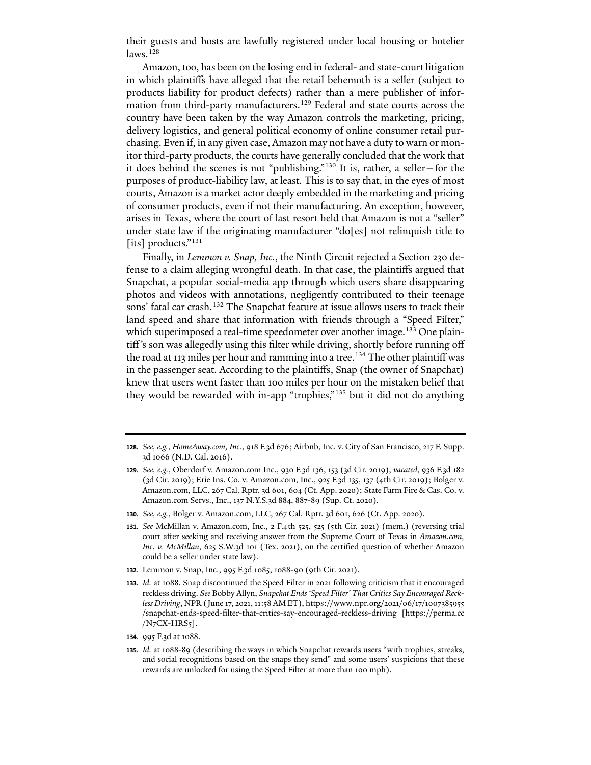their guests and hosts are lawfully registered under local housing or hotelier  $laws.<sup>128</sup>$  $laws.<sup>128</sup>$  $laws.<sup>128</sup>$ 

<span id="page-20-0"></span>Amazon, too, has been on the losing end in federal- and state-court litigation in which plaintiffs have alleged that the retail behemoth is a seller (subject to products liability for product defects) rather than a mere publisher of information from third-party manufacturers.<sup>129</sup> Federal and state courts across the country have been taken by the way Amazon controls the marketing, pricing, delivery logistics, and general political economy of online consumer retail purchasing. Even if, in any given case, Amazon may not have a duty to warn or monitor third-party products, the courts have generally concluded that the work that it does behind the scenes is not "publishing."[130](#page-20-4) It is, rather, a seller—for the purposes of product-liability law, at least. This is to say that, in the eyes of most courts, Amazon is a market actor deeply embedded in the marketing and pricing of consumer products, even if not their manufacturing. An exception, however, arises in Texas, where the court of last resort held that Amazon is not a "seller" under state law if the originating manufacturer "do[es] not relinquish title to [its] products."<sup>[131](#page-20-5)</sup>

<span id="page-20-1"></span>Finally, in *Lemmon v. Snap, Inc.*, the Ninth Circuit rejected a Section 230 defense to a claim alleging wrongful death. In that case, the plaintiffs argued that Snapchat, a popular social-media app through which users share disappearing photos and videos with annotations, negligently contributed to their teenage sons' fatal car crash.<sup>[132](#page-20-6)</sup> The Snapchat feature at issue allows users to track their land speed and share that information with friends through a "Speed Filter," which superimposed a real-time speedometer over another image.<sup>[133](#page-20-7)</sup> One plaintiff's son was allegedly using this filter while driving, shortly before running off the road at 113 miles per hour and ramming into a tree.<sup>[134](#page-20-8)</sup> The other plaintiff was in the passenger seat. According to the plaintiffs, Snap (the owner of Snapchat) knew that users went faster than 100 miles per hour on the mistaken belief that they would be rewarded with in-app "trophies,"[135](#page-20-9) but it did not do anything

- <span id="page-20-5"></span>**131***. See* McMillan v. Amazon.com, Inc., 2 F.4th 525, 525 (5th Cir. 2021) (mem.) (reversing trial court after seeking and receiving answer from the Supreme Court of Texas in *Amazon.com*, *Inc. v. McMillan*, 625 S.W.3d 101 (Tex. 2021), on the certified question of whether Amazon could be a seller under state law).
- <span id="page-20-6"></span>**132**. Lemmon v. Snap, Inc., 995 F.3d 1085, 1088-90 (9th Cir. 2021).
- <span id="page-20-7"></span>**133***. Id.* at 1088. Snap discontinued the Speed Filter in 2021 following criticism that it encouraged reckless driving. *See* Bobby Allyn, *Snapchat Ends 'Speed Filter' That Critics Say Encouraged Reckless Driving*, NPR (June 17, 2021, 11:58 AM ET), https://www.npr.org/2021/06/17/1007385955 /snapchat-ends-speed-filter-that-critics-say-encouraged-reckless-driving [https://perma.cc  $/N$ <sub>7</sub>CX-HRS<sub>5</sub>].
- <span id="page-20-8"></span>**134**. 995 F.3d at 1088.

<span id="page-20-2"></span>**<sup>128</sup>***. See, e.g.*, *HomeAway.com, Inc.*, 918 F.3d 676; Airbnb, Inc. v. City of San Francisco, 217 F. Supp. 3d 1066 (N.D. Cal. 2016).

<span id="page-20-3"></span>**<sup>129</sup>***. See, e.g.*, Oberdorf v. Amazon.com Inc., 930 F.3d 136, 153 (3d Cir. 2019), *vacated*, 936 F.3d 182 (3d Cir. 2019); Erie Ins. Co. v. Amazon.com, Inc., 925 F.3d 135, 137 (4th Cir. 2019); Bolger v. Amazon.com, LLC, 267 Cal. Rptr. 3d 601, 604 (Ct. App. 2020); State Farm Fire & Cas. Co. v. Amazon.com Servs., Inc., 137 N.Y.S.3d 884, 887-89 (Sup. Ct. 2020).

<span id="page-20-4"></span>**<sup>130</sup>***. See, e.g.*, Bolger v. Amazon.com, LLC, 267 Cal. Rptr. 3d 601, 626 (Ct. App. 2020).

<span id="page-20-9"></span>**<sup>135</sup>***. Id.* at 1088-89 (describing the ways in which Snapchat rewards users "with trophies, streaks, and social recognitions based on the snaps they send" and some users' suspicions that these rewards are unlocked for using the Speed Filter at more than 100 mph).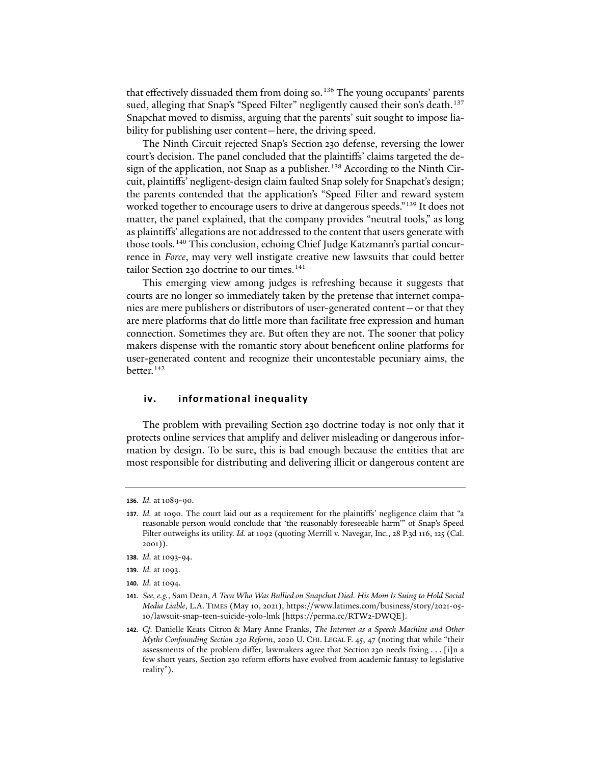that effectively dissuaded them from doing so.<sup>[136](#page-21-0)</sup> The young occupants' parents sued, alleging that Snap's "Speed Filter" negligently caused their son's death.<sup>[137](#page-21-1)</sup> Snapchat moved to dismiss, arguing that the parents' suit sought to impose liability for publishing user content—here, the driving speed.

The Ninth Circuit rejected Snap's Section 230 defense, reversing the lower court's decision. The panel concluded that the plaintiffs' claims targeted the de-sign of the application, not Snap as a publisher.<sup>[138](#page-21-2)</sup> According to the Ninth Circuit, plaintiffs' negligent-design claim faulted Snap solely for Snapchat's design; the parents contended that the application's "Speed Filter and reward system worked together to encourage users to drive at dangerous speeds."<sup>[139](#page-21-3)</sup> It does not matter, the panel explained, that the company provides "neutral tools," as long as plaintiffs' allegations are not addressed to the content that users generate with those tools.[140](#page-21-4) This conclusion, echoing Chief Judge Katzmann's partial concurrence in *Force*, may very well instigate creative new lawsuits that could better tailor Section 230 doctrine to our times.<sup>[141](#page-21-5)</sup>

This emerging view among judges is refreshing because it suggests that courts are no longer so immediately taken by the pretense that internet companies are mere publishers or distributors of user-generated content—or that they are mere platforms that do little more than facilitate free expression and human connection. Sometimes they are. But o�en they are not. The sooner that policy makers dispense with the romantic story about beneficent online platforms for user-generated content and recognize their uncontestable pecuniary aims, the better.<sup>[142](#page-21-6)</sup>

#### <span id="page-21-7"></span>**iv. informational inequality**

The problem with prevailing Section 230 doctrine today is not only that it protects online services that amplify and deliver misleading or dangerous information by design. To be sure, this is bad enough because the entities that are most responsible for distributing and delivering illicit or dangerous content are

<span id="page-21-0"></span>**<sup>136</sup>***. Id.* at 1089-90.

<span id="page-21-1"></span>**<sup>137</sup>***. Id.* at 1090. The court laid out as a requirement for the plaintiffs' negligence claim that "a reasonable person would conclude that 'the reasonably foreseeable harm'" of Snap's Speed Filter outweighs its utility. *Id.* at 1092 (quoting Merrill v. Navegar, Inc., 28 P.3d 116, 125 (Cal. 2001)).

<span id="page-21-2"></span>**<sup>138</sup>***. Id.* at 1093-94.

<span id="page-21-3"></span>**<sup>139</sup>***. Id.* at 1093.

<span id="page-21-4"></span>**<sup>140</sup>***. Id.* at 1094.

<span id="page-21-5"></span>**<sup>141</sup>***. See, e.g.*, Sam Dean, *A Teen Who Was Bullied on Snapchat Died. His Mom Is Suing to Hold Social Media Liable*, L.A. TIMES (May 10, 2021), https://www.latimes.com/business/story/2021-05- 10/lawsuit-snap-teen-suicide-yolo-lmk [https://perma.cc/RTW2-DWQE].

<span id="page-21-6"></span>**<sup>142</sup>***. Cf.* Danielle Keats Citron & Mary Anne Franks, *The Internet as a Speech Machine and Other Myths Confounding Section 230 Reform*, 2020 U. CHI. LEGAL F. 45, 47 (noting that while "their assessments of the problem differ, lawmakers agree that Section 230 needs fixing . . . [i]n a few short years, Section 230 reform efforts have evolved from academic fantasy to legislative reality").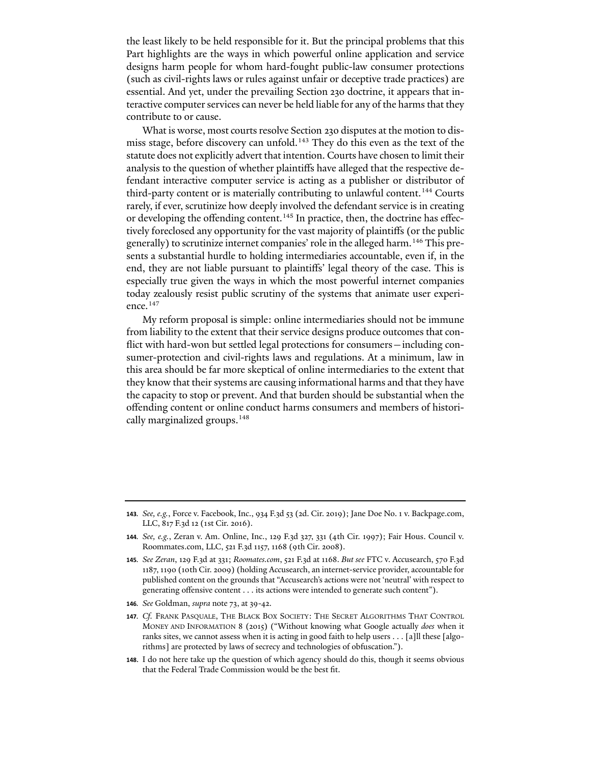the least likely to be held responsible for it. But the principal problems that this Part highlights are the ways in which powerful online application and service designs harm people for whom hard-fought public-law consumer protections (such as civil-rights laws or rules against unfair or deceptive trade practices) are essential. And yet, under the prevailing Section 230 doctrine, it appears that interactive computer services can never be held liable for any of the harms that they contribute to or cause.

What is worse, most courts resolve Section 230 disputes at the motion to dis-miss stage, before discovery can unfold.<sup>[143](#page-22-0)</sup> They do this even as the text of the statute does not explicitly advert that intention. Courts have chosen to limit their analysis to the question of whether plaintiffs have alleged that the respective defendant interactive computer service is acting as a publisher or distributor of third-party content or is materially contributing to unlawful content.<sup>[144](#page-22-1)</sup> Courts rarely, if ever, scrutinize how deeply involved the defendant service is in creating or developing the offending content.<sup>[145](#page-22-2)</sup> In practice, then, the doctrine has effectively foreclosed any opportunity for the vast majority of plaintiffs (or the public generally) to scrutinize internet companies' role in the alleged harm.[146](#page-22-3) This presents a substantial hurdle to holding intermediaries accountable, even if, in the end, they are not liable pursuant to plaintiffs' legal theory of the case. This is especially true given the ways in which the most powerful internet companies today zealously resist public scrutiny of the systems that animate user experi-ence.<sup>[147](#page-22-4)</sup>

My reform proposal is simple: online intermediaries should not be immune from liability to the extent that their service designs produce outcomes that conflict with hard-won but settled legal protections for consumers—including consumer-protection and civil-rights laws and regulations. At a minimum, law in this area should be far more skeptical of online intermediaries to the extent that they know that their systems are causing informational harms and that they have the capacity to stop or prevent. And that burden should be substantial when the offending content or online conduct harms consumers and members of historically marginalized groups.[148](#page-22-5)

<span id="page-22-0"></span>**<sup>143</sup>***. See, e.g.*, Force v. Facebook, Inc., 934 F.3d 53 (2d. Cir. 2019); Jane Doe No. 1 v. Backpage.com, LLC, 817 F.3d 12 (1st Cir. 2016).

<span id="page-22-1"></span>**<sup>144</sup>***. See, e.g.*, Zeran v. Am. Online, Inc., 129 F.3d 327, 331 (4th Cir. 1997); Fair Hous. Council v. Roommates.com, LLC, 521 F.3d 1157, 1168 (9th Cir. 2008).

<span id="page-22-2"></span>**<sup>145</sup>***. See Zeran*, 129 F.3d at 331; *Roomates.com*, 521 F.3d at 1168. *But see* FTC v. Accusearch, 570 F.3d 1187, 1190 (10th Cir. 2009) (holding Accusearch, an internet-service provider, accountable for published content on the grounds that "Accusearch's actions were not 'neutral' with respect to generating offensive content . . . its actions were intended to generate such content").

<span id="page-22-3"></span>**<sup>146</sup>***. See* Goldman, *supra* note [73,](#page-13-9) at 39-42.

<span id="page-22-4"></span>**<sup>147</sup>***. Cf.* FRANK PASQUALE, THE BLACK BOX SOCIETY: THE SECRET ALGORITHMS THAT CONTROL MONEY AND INFORMATION 8 (2015) ("Without knowing what Google actually *does* when it ranks sites, we cannot assess when it is acting in good faith to help users . . . [a]ll these [algorithms] are protected by laws of secrecy and technologies of obfuscation.").

<span id="page-22-5"></span>**<sup>148</sup>**. I do not here take up the question of which agency should do this, though it seems obvious that the Federal Trade Commission would be the best fit.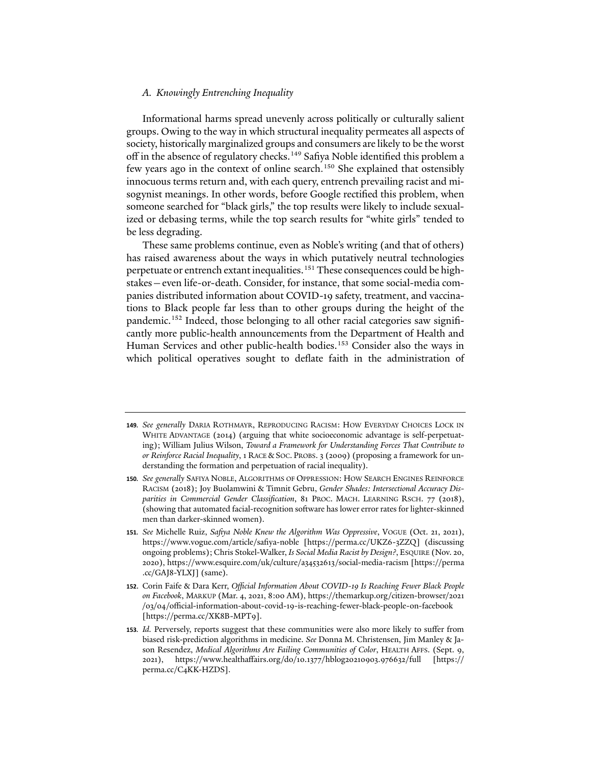#### *A. Knowingly Entrenching Inequality*

Informational harms spread unevenly across politically or culturally salient groups. Owing to the way in which structural inequality permeates all aspects of society, historically marginalized groups and consumers are likely to be the worst off in the absence of regulatory checks.<sup>[149](#page-23-0)</sup> Safiya Noble identified this problem a few years ago in the context of online search. [150](#page-23-1) She explained that ostensibly innocuous terms return and, with each query, entrench prevailing racist and misogynist meanings. In other words, before Google rectified this problem, when someone searched for "black girls," the top results were likely to include sexualized or debasing terms, while the top search results for "white girls" tended to be less degrading.

These same problems continue, even as Noble's writing (and that of others) has raised awareness about the ways in which putatively neutral technologies perpetuate or entrench extant inequalities.<sup>[151](#page-23-2)</sup> These consequences could be highstakes—even life-or-death. Consider, for instance, that some social-media companies distributed information about COVID-19 safety, treatment, and vaccinations to Black people far less than to other groups during the height of the pandemic.<sup>[152](#page-23-3)</sup> Indeed, those belonging to all other racial categories saw significantly more public-health announcements from the Department of Health and Human Services and other public-health bodies.<sup>[153](#page-23-4)</sup> Consider also the ways in which political operatives sought to deflate faith in the administration of

<span id="page-23-0"></span>**<sup>149</sup>***. See generally* DARIA ROTHMAYR, REPRODUCING RACISM: HOW EVERYDAY CHOICES LOCK IN WHITE ADVANTAGE (2014) (arguing that white socioeconomic advantage is self-perpetuating); William Julius Wilson, *Toward a Framework for Understanding Forces That Contribute to or Reinforce Racial Inequality*, 1 RACE & SOC. PROBS. 3 (2009) (proposing a framework for understanding the formation and perpetuation of racial inequality).

<span id="page-23-1"></span>**<sup>150</sup>***. See generally* SAFIYA NOBLE, ALGORITHMS OF OPPRESSION: HOW SEARCH ENGINES REINFORCE RACISM (2018); Joy Buolamwini & Timnit Gebru, *Gender Shades: Intersectional Accuracy Disparities in Commercial Gender Classification*, 81 PROC. MACH. LEARNING RSCH. 77 (2018), (showing that automated facial-recognition so�ware has lower error rates for lighter-skinned men than darker-skinned women).

<span id="page-23-2"></span>**<sup>151</sup>***. See* Michelle Ruiz, *Safiya Noble Knew the Algorithm Was Oppressive*, VOGUE (Oct. 21, 2021), https://www.vogue.com/article/safiya-noble [https://perma.cc/UKZ6-3ZZQ] (discussing ongoing problems); Chris Stokel-Walker, *Is Social Media Racist by Design?*, ESQUIRE (Nov. 20, 2020), https://www.esquire.com/uk/culture/a34532613/social-media-racism [https://perma .cc/GAJ8-YLXJ] (same).

<span id="page-23-3"></span>**<sup>152</sup>**. Corin Faife & Dara Kerr, *Official Information About COVID-19 Is Reaching Fewer Black People on Facebook*, MARKUP (Mar. 4, 2021, 8:00 AM), https://themarkup.org/citizen-browser/2021 /03/04/official-information-about-covid-19-is-reaching-fewer-black-people-on-facebook [https://perma.cc/XK8B-MPT9].

<span id="page-23-4"></span>**<sup>153</sup>***. Id.* Perversely, reports suggest that these communities were also more likely to suffer from biased risk-prediction algorithms in medicine. *See* Donna M. Christensen, Jim Manley & Jason Resendez, *Medical Algorithms Are Failing Communities of Color*, HEALTH AFFS. (Sept. 9, 2021), https://www.healthaffairs.org/do/10.1377/hblog20210903.976632/full [https:// perma.cc/C4KK-HZDS].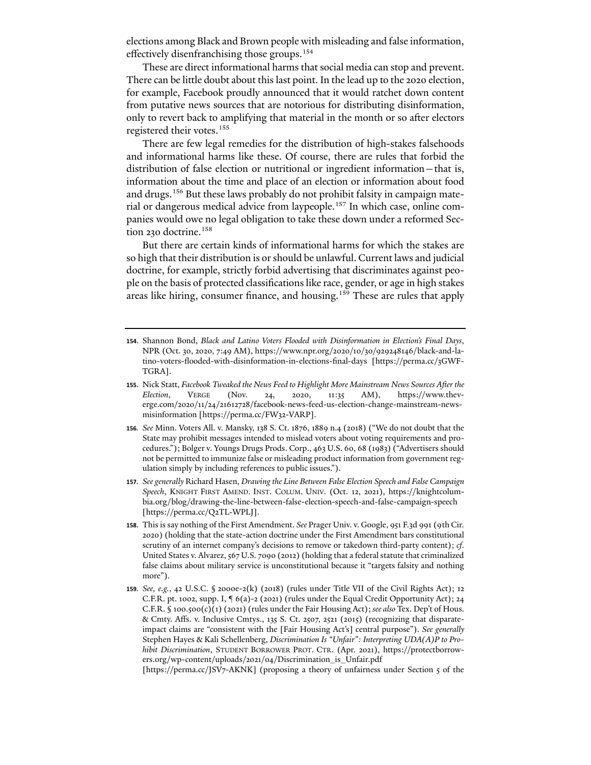elections among Black and Brown people with misleading and false information, effectively disenfranchising those groups.[154](#page-24-0)

These are direct informational harms that social media can stop and prevent. There can be little doubt about this last point. In the lead up to the 2020 election, for example, Facebook proudly announced that it would ratchet down content from putative news sources that are notorious for distributing disinformation, only to revert back to amplifying that material in the month or so after electors registered their votes.<sup>[155](#page-24-1)</sup>

There are few legal remedies for the distribution of high-stakes falsehoods and informational harms like these. Of course, there are rules that forbid the distribution of false election or nutritional or ingredient information—that is, information about the time and place of an election or information about food and drugs.<sup>[156](#page-24-2)</sup> But these laws probably do not prohibit falsity in campaign mate-rial or dangerous medical advice from laypeople.<sup>[157](#page-24-3)</sup> In which case, online companies would owe no legal obligation to take these down under a reformed Sec-tion 230 doctrine.<sup>[158](#page-24-4)</sup>

But there are certain kinds of informational harms for which the stakes are so high that their distribution is or should be unlawful. Current laws and judicial doctrine, for example, strictly forbid advertising that discriminates against people on the basis of protected classifications like race, gender, or age in high stakes areas like hiring, consumer finance, and housing.<sup>[159](#page-24-5)</sup> These are rules that apply

- <span id="page-24-1"></span>**155**. Nick Statt, *Facebook Tweaked the News Feed to Highlight More Mainstream News Sources A�er the Election*, VERGE (Nov. 24, 2020, 11:35 AM), https://www.theverge.com/2020/11/24/21612728/facebook-news-feed-us-election-change-mainstream-newsmisinformation [https://perma.cc/FW32-VARP].
- <span id="page-24-2"></span>**156***. See* Minn. Voters All. v. Mansky, 138 S. Ct. 1876, 1889 n.4 (2018) ("We do not doubt that the State may prohibit messages intended to mislead voters about voting requirements and procedures."); Bolger v. Youngs Drugs Prods. Corp., 463 U.S. 60, 68 (1983) ("Advertisers should not be permitted to immunize false or misleading product information from government regulation simply by including references to public issues.").
- <span id="page-24-3"></span>**157***. See generally* Richard Hasen, *Drawing the Line Between False Election Speech and False Campaign Speech*, KNIGHT FIRST AMEND. INST. COLUM. UNIV. (Oct. 12, 2021), https://knightcolumbia.org/blog/drawing-the-line-between-false-election-speech-and-false-campaign-speech [https://perma.cc/Q2TL-WPLJ].
- <span id="page-24-4"></span>**158**. This is say nothing of the First Amendment. *See* Prager Univ. v. Google, 951 F.3d 991 (9th Cir. 2020) (holding that the state-action doctrine under the First Amendment bars constitutional scrutiny of an internet company's decisions to remove or takedown third-party content); *cf*. United States v. Alvarez, 567 U.S. 7090 (2012) (holding that a federal statute that criminalized false claims about military service is unconstitutional because it "targets falsity and nothing more").
- <span id="page-24-5"></span>**159***. See, e.g.*, 42 U.S.C. § 2000e-2(k) (2018) (rules under Title VII of the Civil Rights Act); 12 C.F.R. pt. 1002, supp. I,  $\P 6(a)-2(2021)$  (rules under the Equal Credit Opportunity Act); 24 C.F.R. § 100.500(c)(1) (2021) (rules under the Fair Housing Act); *see also* Tex. Dep't of Hous. & Cmty. Affs. v. Inclusive Cmtys., 135 S. Ct. 2507, 2521 (2015) (recognizing that disparateimpact claims are "consistent with the [Fair Housing Act's] central purpose"). *See generally* Stephen Hayes & Kali Schellenberg, *Discrimination Is "Unfair": Interpreting UDA(A)P to Prohibit Discrimination*, STUDENT BORROWER PROT. CTR. (Apr. 2021), https://protectborrowers.org/wp-content/uploads/2021/04/Discrimination\_is\_Unfair.pdf

[https://perma.cc/JSV7-AKNK] (proposing a theory of unfairness under Section 5 of the

<span id="page-24-0"></span>**<sup>154</sup>**. Shannon Bond, *Black and Latino Voters Flooded with Disinformation in Election's Final Days*, NPR (Oct. 30, 2020, 7:49 AM), https://www.npr.org/2020/10/30/929248146/black-and-latino-voters-flooded-with-disinformation-in-elections-final-days [https://perma.cc/3GWF-TGRA].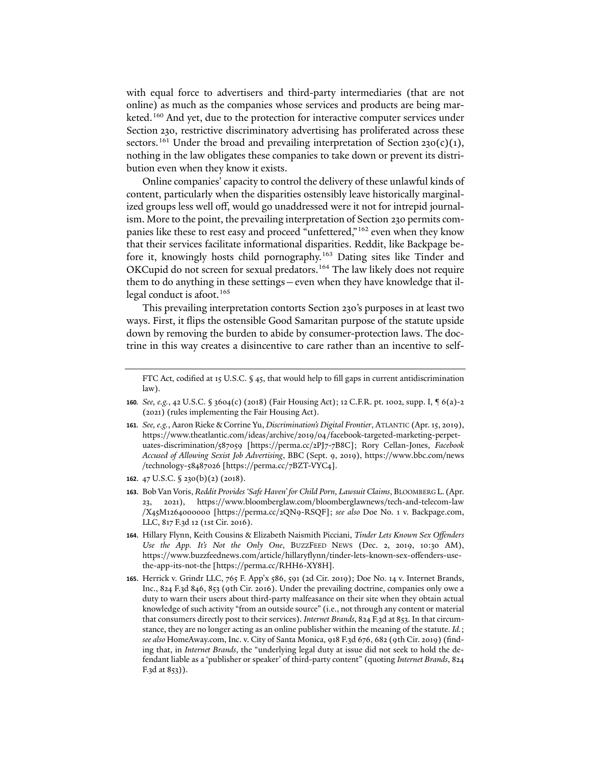with equal force to advertisers and third-party intermediaries (that are not online) as much as the companies whose services and products are being mar-keted.<sup>[160](#page-25-0)</sup> And yet, due to the protection for interactive computer services under Section 230, restrictive discriminatory advertising has proliferated across these sectors.<sup>[161](#page-25-1)</sup> Under the broad and prevailing interpretation of Section 230(c)(1), nothing in the law obligates these companies to take down or prevent its distribution even when they know it exists.

Online companies'capacity to control the delivery of these unlawful kinds of content, particularly when the disparities ostensibly leave historically marginalized groups less well off, would go unaddressed were it not for intrepid journalism. More to the point, the prevailing interpretation of Section 230 permits com-panies like these to rest easy and proceed "unfettered,"<sup>[162](#page-25-2)</sup> even when they know that their services facilitate informational disparities. Reddit, like Backpage be-fore it, knowingly hosts child pornography.<sup>[163](#page-25-3)</sup> Dating sites like Tinder and OKCupid do not screen for sexual predators.<sup>[164](#page-25-4)</sup> The law likely does not require them to do anything in these settings—even when they have knowledge that il-legal conduct is afoot.<sup>[165](#page-25-5)</sup>

This prevailing interpretation contorts Section 230's purposes in at least two ways. First, it flips the ostensible Good Samaritan purpose of the statute upside down by removing the burden to abide by consumer-protection laws. The doctrine in this way creates a disincentive to care rather than an incentive to self-

- <span id="page-25-0"></span>**160***. See, e.g.*, 42 U.S.C. § 3604(c) (2018) (Fair Housing Act); 12 C.F.R. pt. 1002, supp. I, ¶ 6(a)-2 (2021) (rules implementing the Fair Housing Act).
- <span id="page-25-1"></span>**161***. See, e.g.*, Aaron Rieke & Corrine Yu, *Discrimination's Digital Frontier*, ATLANTIC (Apr. 15, 2019), https://www.theatlantic.com/ideas/archive/2019/04/facebook-targeted-marketing-perpetuates-discrimination/587059 [https://perma.cc/2PJ7-7B8C]; Rory Cellan-Jones, *Facebook Accused of Allowing Sexist Job Advertising*, BBC (Sept. 9, 2019), https://www.bbc.com/news /technology-58487026 [https://perma.cc/7BZT-VYC4].
- <span id="page-25-2"></span>**162**. 47 U.S.C. § 230(b)(2) (2018).
- <span id="page-25-3"></span>**163**. Bob Van Voris, *Reddit Provides 'Safe Haven' for Child Porn, Lawsuit Claims*, BLOOMBERG L. (Apr. 23, 2021), https://www.bloomberglaw.com/bloomberglawnews/tech-and-telecom-law /X45M1264000000 [https://perma.cc/2QN9-RSQF]; *see also* Doe No. 1 v. Backpage.com, LLC, 817 F.3d 12 (1st Cir. 2016).
- <span id="page-25-4"></span>**164**. Hillary Flynn, Keith Cousins & Elizabeth Naismith Picciani, *Tinder Lets Known Sex Offenders Use the App. It's Not the Only One*, BUZZFEED NEWS (Dec. 2, 2019, 10:30 AM), https://www.buzzfeednews.com/article/hillaryflynn/tinder-lets-known-sex-offenders-usethe-app-its-not-the [https://perma.cc/RHH6-XY8H].
- <span id="page-25-5"></span>**165**. Herrick v. Grindr LLC, 765 F. App'x 586, 591 (2d Cir. 2019); Doe No. 14 v. Internet Brands, Inc., 824 F.3d 846, 853 (9th Cir. 2016). Under the prevailing doctrine, companies only owe a duty to warn their users about third-party malfeasance on their site when they obtain actual knowledge of such activity "from an outside source" (i.e., not through any content or material that consumers directly post to their services). *Internet Brands*, 824 F.3d at 853. In that circumstance, they are no longer acting as an online publisher within the meaning of the statute. *Id.*; *see also* HomeAway.com, Inc. v. City of Santa Monica, 918 F.3d 676, 682 (9th Cir. 2019) (finding that, in *Internet Brands*, the "underlying legal duty at issue did not seek to hold the defendant liable as a 'publisher or speaker' of third-party content" (quoting *Internet Brands*, 824 F.3d at 853)).

FTC Act, codified at 15 U.S.C. § 45, that would help to fill gaps in current antidiscrimination law).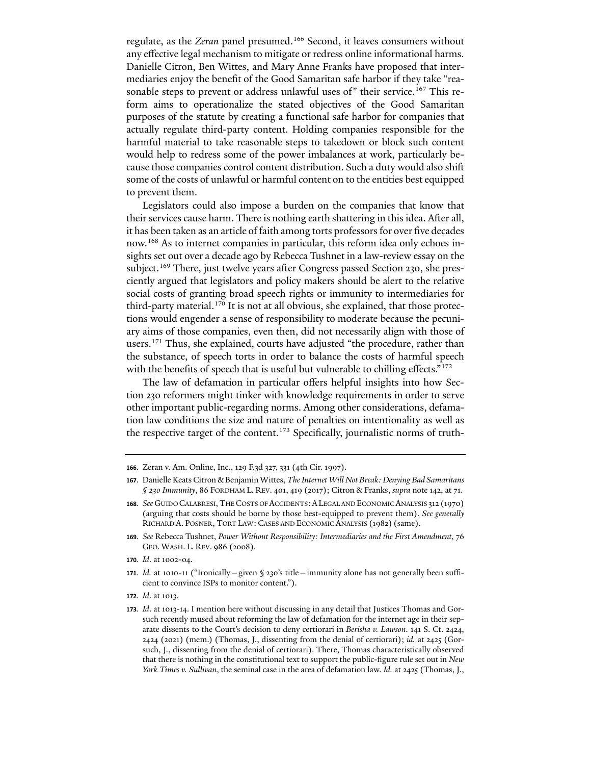regulate, as the *Zeran* panel presumed.[166](#page-26-0) Second, it leaves consumers without any effective legal mechanism to mitigate or redress online informational harms. Danielle Citron, Ben Wittes, and Mary Anne Franks have proposed that intermediaries enjoy the benefit of the Good Samaritan safe harbor if they take "rea-sonable steps to prevent or address unlawful uses of" their service.<sup>[167](#page-26-1)</sup> This reform aims to operationalize the stated objectives of the Good Samaritan purposes of the statute by creating a functional safe harbor for companies that actually regulate third-party content. Holding companies responsible for the harmful material to take reasonable steps to takedown or block such content would help to redress some of the power imbalances at work, particularly because those companies control content distribution. Such a duty would also shift some of the costs of unlawful or harmful content on to the entities best equipped to prevent them.

Legislators could also impose a burden on the companies that know that their services cause harm. There is nothing earth shattering in this idea. A�er all, it has been taken as an article of faith among torts professors for over five decades now.[168](#page-26-2) As to internet companies in particular, this reform idea only echoes insights set out over a decade ago by Rebecca Tushnet in a law-review essay on the subject.<sup>[169](#page-26-3)</sup> There, just twelve years after Congress passed Section 230, she presciently argued that legislators and policy makers should be alert to the relative social costs of granting broad speech rights or immunity to intermediaries for third-party material.<sup>170</sup> It is not at all obvious, she explained, that those protections would engender a sense of responsibility to moderate because the pecuniary aims of those companies, even then, did not necessarily align with those of users.[171](#page-26-5) Thus, she explained, courts have adjusted "the procedure, rather than the substance, of speech torts in order to balance the costs of harmful speech with the benefits of speech that is useful but vulnerable to chilling effects."<sup>[172](#page-26-6)</sup>

The law of defamation in particular offers helpful insights into how Section 230 reformers might tinker with knowledge requirements in order to serve other important public-regarding norms. Among other considerations, defamation law conditions the size and nature of penalties on intentionality as well as the respective target of the content.<sup>[173](#page-26-7)</sup> Specifically, journalistic norms of truth-

<span id="page-26-4"></span>**170***. Id*. at 1002-04.

<span id="page-26-6"></span>**172***. Id*. at 1013.

<span id="page-26-0"></span>**<sup>166</sup>**. Zeran v. Am. Online, Inc., 129 F.3d 327, 331 (4th Cir. 1997).

<span id="page-26-1"></span>**<sup>167</sup>**. Danielle Keats Citron & Benjamin Wittes, *The Internet Will Not Break: Denying Bad Samaritans § 230 Immunity*, 86 FORDHAM L. REV. 401, 419 (2017); Citron & Franks, *supra* not[e 142,](#page-21-7) at 71.

<span id="page-26-2"></span>**<sup>168</sup>***. See* GUIDO CALABRESI, THE COSTS OF ACCIDENTS:ALEGAL AND ECONOMIC ANALYSIS 312 (1970) (arguing that costs should be borne by those best-equipped to prevent them). *See generally* RICHARD A. POSNER, TORT LAW: CASES AND ECONOMIC ANALYSIS (1982) (same).

<span id="page-26-3"></span>**<sup>169</sup>***. See* Rebecca Tushnet, *Power Without Responsibility: Intermediaries and the First Amendment*, 76 GEO. WASH. L. REV. 986 (2008).

<span id="page-26-5"></span>**<sup>171</sup>***. Id.* at 1010-11 ("Ironically—given § 230's title—immunity alone has not generally been sufficient to convince ISPs to monitor content.").

<span id="page-26-7"></span>**<sup>173</sup>***. Id*. at 1013-14. I mention here without discussing in any detail that Justices Thomas and Gorsuch recently mused about reforming the law of defamation for the internet age in their separate dissents to the Court's decision to deny certiorari in *Berisha v. Lawson*. 141 S. Ct. 2424, 2424 (2021) (mem.) (Thomas, J., dissenting from the denial of certiorari); *id.* at 2425 (Gorsuch, J., dissenting from the denial of certiorari). There, Thomas characteristically observed that there is nothing in the constitutional text to support the public-figure rule set out in *New York Times v. Sullivan*, the seminal case in the area of defamation law. *Id.* at 2425 (Thomas, J.,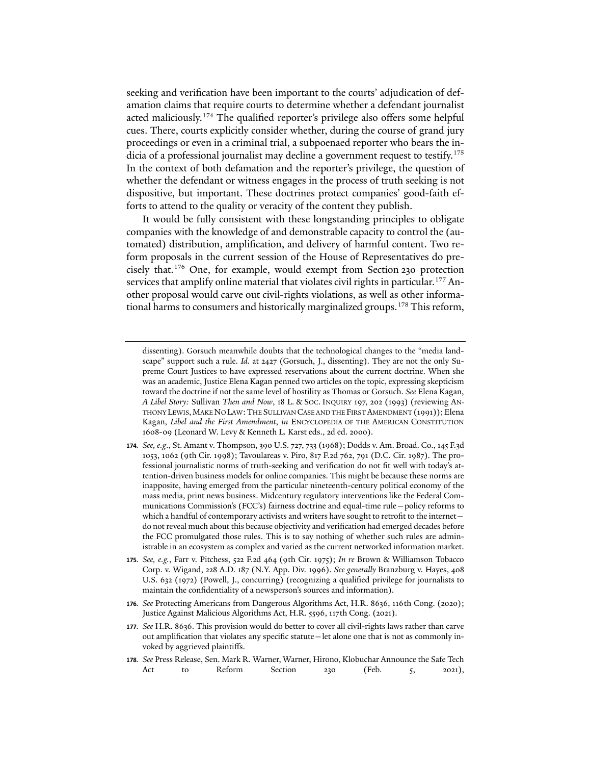seeking and verification have been important to the courts' adjudication of defamation claims that require courts to determine whether a defendant journalist acted maliciously.<sup>[174](#page-27-0)</sup> The qualified reporter's privilege also offers some helpful cues. There, courts explicitly consider whether, during the course of grand jury proceedings or even in a criminal trial, a subpoenaed reporter who bears the in-dicia of a professional journalist may decline a government request to testify.<sup>[175](#page-27-1)</sup> In the context of both defamation and the reporter's privilege, the question of whether the defendant or witness engages in the process of truth seeking is not dispositive, but important. These doctrines protect companies' good-faith efforts to attend to the quality or veracity of the content they publish.

It would be fully consistent with these longstanding principles to obligate companies with the knowledge of and demonstrable capacity to control the (automated) distribution, amplification, and delivery of harmful content. Two reform proposals in the current session of the House of Representatives do precisely that[.176](#page-27-2) One, for example, would exempt from Section 230 protection services that amplify online material that violates civil rights in particular.<sup>[177](#page-27-3)</sup> Another proposal would carve out civil-rights violations, as well as other informa-tional harms to consumers and historically marginalized groups.<sup>[178](#page-27-4)</sup> This reform,

- <span id="page-27-0"></span>**174***. See, e.g*., St. Amant v. Thompson, 390 U.S. 727, 733 (1968); Dodds v. Am. Broad. Co., 145 F.3d 1053, 1062 (9th Cir. 1998); Tavoulareas v. Piro, 817 F.2d 762, 791 (D.C. Cir. 1987). The professional journalistic norms of truth-seeking and verification do not fit well with today's attention-driven business models for online companies. This might be because these norms are inapposite, having emerged from the particular nineteenth-century political economy of the mass media, print news business. Midcentury regulatory interventions like the Federal Communications Commission's (FCC's) fairness doctrine and equal-time rule—policy reforms to which a handful of contemporary activists and writers have sought to retrofit to the internet do not reveal much about this because objectivity and verification had emerged decades before the FCC promulgated those rules. This is to say nothing of whether such rules are administrable in an ecosystem as complex and varied as the current networked information market.
- <span id="page-27-1"></span>**175***. See, e.g.*, Farr v. Pitchess, 522 F.2d 464 (9th Cir. 1975); *In re* Brown & Williamson Tobacco Corp. v. Wigand, 228 A.D. 187 (N.Y. App. Div. 1996). *See generally* Branzburg v. Hayes, 408 U.S. 632 (1972) (Powell, J., concurring) (recognizing a qualified privilege for journalists to maintain the confidentiality of a newsperson's sources and information).
- <span id="page-27-2"></span>**176***. See* Protecting Americans from Dangerous Algorithms Act, H.R. 8636, 116th Cong. (2020); Justice Against Malicious Algorithms Act, H.R. 5596, 117th Cong. (2021).

dissenting). Gorsuch meanwhile doubts that the technological changes to the "media landscape" support such a rule. *Id.* at 2427 (Gorsuch, J., dissenting). They are not the only Supreme Court Justices to have expressed reservations about the current doctrine. When she was an academic, Justice Elena Kagan penned two articles on the topic, expressing skepticism toward the doctrine if not the same level of hostility as Thomas or Gorsuch. *See* Elena Kagan, *A Libel Story:* Sullivan *Then and Now*, 18 L. & SOC. INQUIRY 197, 202 (1993) (reviewing AN-THONY LEWIS,MAKE NO LAW:THE SULLIVAN CASE AND THE FIRST AMENDMENT (1991)); Elena Kagan, *Libel and the First Amendment*, *in* ENCYCLOPEDIA OF THE AMERICAN CONSTITUTION 1608-09 (Leonard W. Levy & Kenneth L. Karst eds., 2d ed. 2000).

<span id="page-27-3"></span>**<sup>177</sup>***. See* H.R. 8636. This provision would do better to cover all civil-rights laws rather than carve out amplification that violates any specific statute—let alone one that is not as commonly invoked by aggrieved plaintiffs.

<span id="page-27-4"></span>**<sup>178</sup>***. See* Press Release, Sen. Mark R. Warner, Warner, Hirono, Klobuchar Announce the Safe Tech Act to Reform Section 230 (Feb. 5, 2021),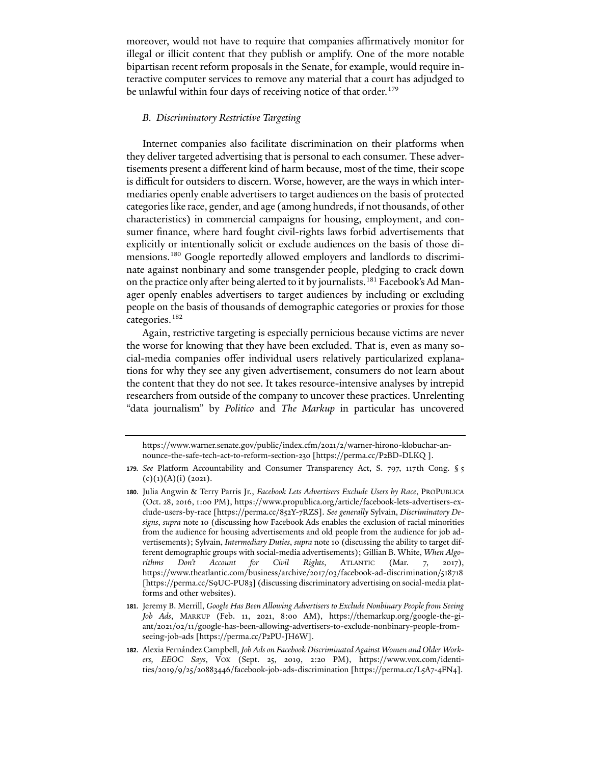moreover, would not have to require that companies affirmatively monitor for illegal or illicit content that they publish or amplify. One of the more notable bipartisan recent reform proposals in the Senate, for example, would require interactive computer services to remove any material that a court has adjudged to be unlawful within four days of receiving notice of that order.<sup>[179](#page-28-0)</sup>

## *B. Discriminatory Restrictive Targeting*

Internet companies also facilitate discrimination on their platforms when they deliver targeted advertising that is personal to each consumer. These advertisements present a different kind of harm because, most of the time, their scope is difficult for outsiders to discern. Worse, however, are the ways in which intermediaries openly enable advertisers to target audiences on the basis of protected categories like race, gender, and age (among hundreds, if not thousands, of other characteristics) in commercial campaigns for housing, employment, and consumer finance, where hard fought civil-rights laws forbid advertisements that explicitly or intentionally solicit or exclude audiences on the basis of those dimensions.[180](#page-28-1) Google reportedly allowed employers and landlords to discriminate against nonbinary and some transgender people, pledging to crack down on the practice only after being alerted to it by journalists.<sup>[181](#page-28-2)</sup> Facebook's Ad Manager openly enables advertisers to target audiences by including or excluding people on the basis of thousands of demographic categories or proxies for those categories.<sup>[182](#page-28-3)</sup>

<span id="page-28-5"></span><span id="page-28-4"></span>Again, restrictive targeting is especially pernicious because victims are never the worse for knowing that they have been excluded. That is, even as many social-media companies offer individual users relatively particularized explanations for why they see any given advertisement, consumers do not learn about the content that they do not see. It takes resource-intensive analyses by intrepid researchers from outside of the company to uncover these practices. Unrelenting "data journalism" by *Politico* and *The Markup* in particular has uncovered

https://www.warner.senate.gov/public/index.cfm/2021/2/warner-hirono-klobuchar-announce-the-safe-tech-act-to-reform-section-230 [https://perma.cc/P2BD-DLKQ ].

<span id="page-28-0"></span>**<sup>179</sup>***. See* Platform Accountability and Consumer Transparency Act, S. 797, 117th Cong. § 5  $(c)(1)(A)(i)$  (2021).

<span id="page-28-1"></span>**<sup>180</sup>**. Julia Angwin & Terry Parris Jr., *Facebook Lets Advertisers Exclude Users by Race*, PROPUBLICA (Oct. 28, 2016, 1:00 PM), https://www.propublica.org/article/facebook-lets-advertisers-exclude-users-by-race [https://perma.cc/852Y-7RZS]. *See generally* Sylvain, *Discriminatory Designs*, *supra* note [10](#page-1-7) (discussing how Facebook Ads enables the exclusion of racial minorities from the audience for housing advertisements and old people from the audience for job advertisements); Sylvain, *Intermediary Duties*, *supra* not[e 10](#page-1-7) (discussing the ability to target different demographic groups with social-media advertisements); Gillian B. White, *When Algorithms Don't Account for Civil Rights*, ATLANTIC (Mar. 7, 2017), https://www.theatlantic.com/business/archive/2017/03/facebook-ad-discrimination/518718 [https://perma.cc/S9UC-PU83] (discussing discriminatory advertising on social-media platforms and other websites).

<span id="page-28-2"></span>**<sup>181</sup>**. Jeremy B. Merrill, *Google Has Been Allowing Advertisers to Exclude Nonbinary People from Seeing Job Ads*, MARKUP (Feb. 11, 2021, 8:00 AM), https://themarkup.org/google-the-giant/2021/02/11/google-has-been-allowing-advertisers-to-exclude-nonbinary-people-fromseeing-job-ads [https://perma.cc/P2PU-JH6W].

<span id="page-28-3"></span>**<sup>182</sup>**. Alexia Fernández Campbell, *Job Ads on Facebook Discriminated Against Women and Older Workers, EEOC Says*, VOX (Sept. 25, 2019, 2:20 PM), https://www.vox.com/identities/2019/9/25/20883446/facebook-job-ads-discrimination [https://perma.cc/L5A7-4FN4].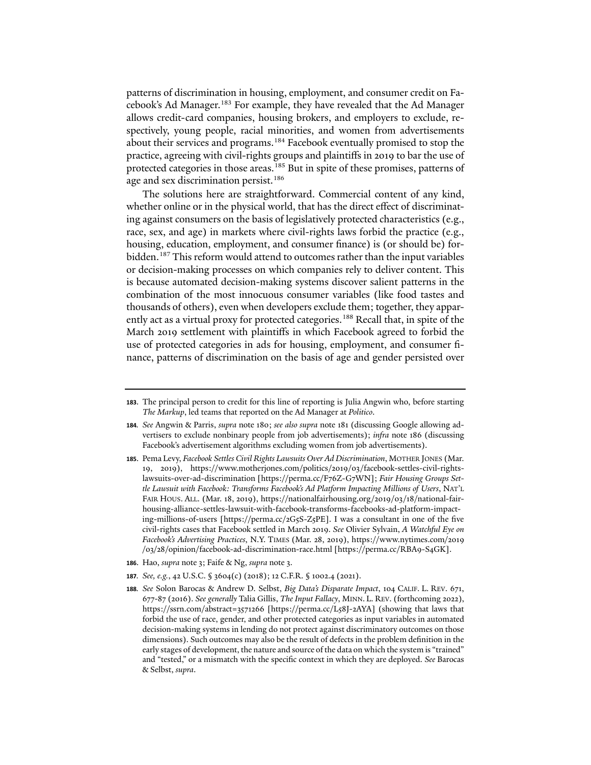patterns of discrimination in housing, employment, and consumer credit on Fa-cebook's Ad Manager.<sup>[183](#page-29-1)</sup> For example, they have revealed that the Ad Manager allows credit-card companies, housing brokers, and employers to exclude, respectively, young people, racial minorities, and women from advertisements about their services and programs.<sup>[184](#page-29-2)</sup> Facebook eventually promised to stop the practice, agreeing with civil-rights groups and plaintiffs in 2019 to bar the use of protected categories in those areas.<sup>[185](#page-29-3)</sup> But in spite of these promises, patterns of age and sex discrimination persist.<sup>186</sup>

<span id="page-29-0"></span>The solutions here are straightforward. Commercial content of any kind, whether online or in the physical world, that has the direct effect of discriminating against consumers on the basis of legislatively protected characteristics (e.g., race, sex, and age) in markets where civil-rights laws forbid the practice (e.g., housing, education, employment, and consumer finance) is (or should be) for-bidden.<sup>[187](#page-29-5)</sup> This reform would attend to outcomes rather than the input variables or decision-making processes on which companies rely to deliver content. This is because automated decision-making systems discover salient patterns in the combination of the most innocuous consumer variables (like food tastes and thousands of others), even when developers exclude them; together, they appar-ently act as a virtual proxy for protected categories.<sup>[188](#page-29-6)</sup> Recall that, in spite of the March 2019 settlement with plaintiffs in which Facebook agreed to forbid the use of protected categories in ads for housing, employment, and consumer finance, patterns of discrimination on the basis of age and gender persisted over

- <span id="page-29-4"></span>**186**. Hao, *supra* not[e 3;](#page-0-6) Faife & Ng, *supra* not[e 3.](#page-0-6)
- <span id="page-29-5"></span>**187***. See, e.g.*, 42 U.S.C. § 3604(c) (2018); 12 C.F.R. § 1002.4 (2021).
- <span id="page-29-6"></span>**188***. See* Solon Barocas & Andrew D. Selbst, *Big Data's Disparate Impact*, 104 CALIF. L. REV. 671, 677-87 (2016). *See generally* Talia Gillis, *The Input Fallacy*, MINN. L. REV. (forthcoming 2022), https://ssrn.com/abstract=3571266 [https://perma.cc/L58J-2AYA] (showing that laws that forbid the use of race, gender, and other protected categories as input variables in automated decision-making systems in lending do not protect against discriminatory outcomes on those dimensions). Such outcomes may also be the result of defects in the problem definition in the early stages of development, the nature and source of the data on which the system is "trained" and "tested," or a mismatch with the specific context in which they are deployed. *See* Barocas & Selbst, *supra*.

<span id="page-29-1"></span>**<sup>183</sup>**. The principal person to credit for this line of reporting is Julia Angwin who, before starting *The Markup*, led teams that reported on the Ad Manager at *Politico*.

<span id="page-29-2"></span>**<sup>184</sup>***. See* Angwin & Parris, *supra* note [180;](#page-28-4) *see also supra* note [181](#page-28-5) (discussing Google allowing advertisers to exclude nonbinary people from job advertisements); *infra* note [186](#page-29-0) (discussing Facebook's advertisement algorithms excluding women from job advertisements).

<span id="page-29-3"></span>**<sup>185</sup>**. Pema Levy, *Facebook Settles Civil Rights Lawsuits Over Ad Discrimination*, MOTHER JONES (Mar. 19, 2019), https://www.motherjones.com/politics/2019/03/facebook-settles-civil-rightslawsuits-over-ad-discrimination [https://perma.cc/F76Z-G7WN]; *Fair Housing Groups Settle Lawsuit with Facebook: Transforms Facebook's Ad Platform Impacting Millions of Users*, NAT'L FAIR HOUS. ALL. (Mar. 18, 2019), https://nationalfairhousing.org/2019/03/18/national-fairhousing-alliance-settles-lawsuit-with-facebook-transforms-facebooks-ad-platform-impacting-millions-of-users [https://perma.cc/2G5S-Z5PE]. I was a consultant in one of the five civil-rights cases that Facebook settled in March 2019. *See* Olivier Sylvain, *A Watchful Eye on Facebook's Advertising Practices*, N.Y. TIMES (Mar. 28, 2019), https://www.nytimes.com/2019 /03/28/opinion/facebook-ad-discrimination-race.html [https://perma.cc/RBA9-S4GK].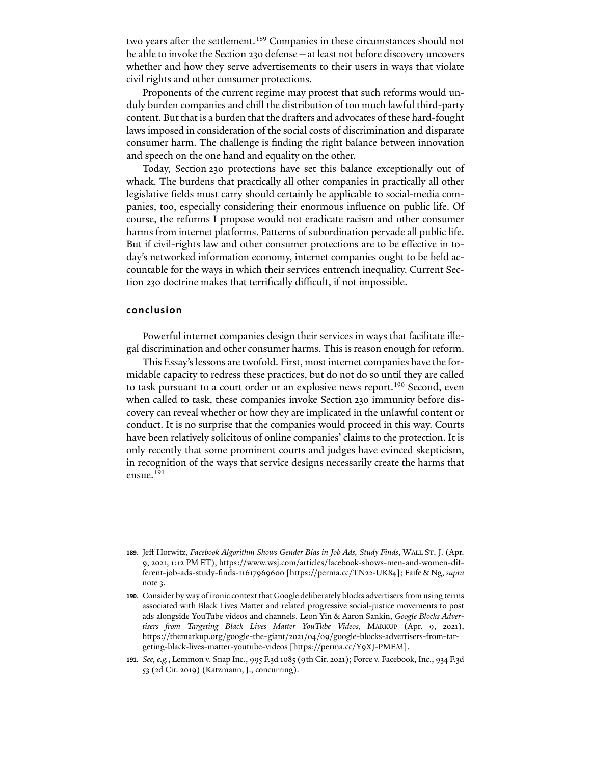two years after the settlement.<sup>[189](#page-30-0)</sup> Companies in these circumstances should not be able to invoke the Section 230 defense—at least not before discovery uncovers whether and how they serve advertisements to their users in ways that violate civil rights and other consumer protections.

Proponents of the current regime may protest that such reforms would unduly burden companies and chill the distribution of too much lawful third-party content. But that is a burden that the drafters and advocates of these hard-fought laws imposed in consideration of the social costs of discrimination and disparate consumer harm. The challenge is finding the right balance between innovation and speech on the one hand and equality on the other.

Today, Section 230 protections have set this balance exceptionally out of whack. The burdens that practically all other companies in practically all other legislative fields must carry should certainly be applicable to social-media companies, too, especially considering their enormous influence on public life. Of course, the reforms I propose would not eradicate racism and other consumer harms from internet platforms. Patterns of subordination pervade all public life. But if civil-rights law and other consumer protections are to be effective in today's networked information economy, internet companies ought to be held accountable for the ways in which their services entrench inequality. Current Section 230 doctrine makes that terrifically difficult, if not impossible.

#### **conclusion**

Powerful internet companies design their services in ways that facilitate illegal discrimination and other consumer harms. This is reason enough for reform.

This Essay's lessons are twofold. First, most internet companies have the formidable capacity to redress these practices, but do not do so until they are called to task pursuant to a court order or an explosive news report.<sup>[190](#page-30-1)</sup> Second, even when called to task, these companies invoke Section 230 immunity before discovery can reveal whether or how they are implicated in the unlawful content or conduct. It is no surprise that the companies would proceed in this way. Courts have been relatively solicitous of online companies' claims to the protection. It is only recently that some prominent courts and judges have evinced skepticism, in recognition of the ways that service designs necessarily create the harms that ensue.<sup>[191](#page-30-2)</sup>

<span id="page-30-2"></span>**191***. See, e.g.*, Lemmon v. Snap Inc., 995 F.3d 1085 (9th Cir. 2021); Force v. Facebook, Inc., 934 F.3d 53 (2d Cir. 2019) (Katzmann, J., concurring).

<span id="page-30-0"></span>**<sup>189</sup>**. Jeff Horwitz, *Facebook Algorithm Shows Gender Bias in Job Ads, Study Finds*, WALL ST. J. (Apr. 9, 2021, 1:12 PM ET), https://www.wsj.com/articles/facebook-shows-men-and-women-different-job-ads-study-finds-11617969600 [https://perma.cc/TN22-UK84]; Faife & Ng, *supra*  not[e 3.](#page-0-6)

<span id="page-30-1"></span>**<sup>190</sup>**. Consider by way of ironic context that Google deliberately blocks advertisers from using terms associated with Black Lives Matter and related progressive social-justice movements to post ads alongside YouTube videos and channels. Leon Yin & Aaron Sankin, *Google Blocks Advertisers from Targeting Black Lives Matter YouTube Videos*, MARKUP (Apr. 9, 2021), https://themarkup.org/google-the-giant/2021/04/09/google-blocks-advertisers-from-targeting-black-lives-matter-youtube-videos [https://perma.cc/Y9XJ-PMEM].